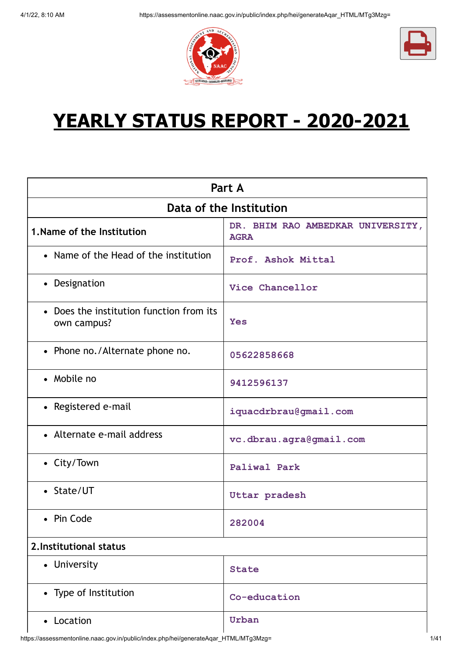



# **YEARLY STATUS REPORT - 2020-2021**

| Part A                                                  |                                                  |  |  |
|---------------------------------------------------------|--------------------------------------------------|--|--|
| Data of the Institution                                 |                                                  |  |  |
| 1. Name of the Institution                              | DR. BHIM RAO AMBEDKAR UNIVERSITY,<br><b>AGRA</b> |  |  |
| • Name of the Head of the institution                   | Prof. Ashok Mittal                               |  |  |
| • Designation                                           | Vice Chancellor                                  |  |  |
| • Does the institution function from its<br>own campus? | <b>Yes</b>                                       |  |  |
| • Phone no./Alternate phone no.                         | 05622858668                                      |  |  |
| • Mobile no                                             | 9412596137                                       |  |  |
| • Registered e-mail                                     | iquacdrbrau@gmail.com                            |  |  |
| • Alternate e-mail address                              | vc.dbrau.agra@gmail.com                          |  |  |
| • City/Town                                             | <b>Paliwal Park</b>                              |  |  |
| • State/UT                                              | Uttar pradesh                                    |  |  |
| • Pin Code                                              | 282004                                           |  |  |
| 2. Institutional status                                 |                                                  |  |  |
| • University                                            | <b>State</b>                                     |  |  |
| • Type of Institution                                   | Co-education                                     |  |  |
| • Location                                              | Urban                                            |  |  |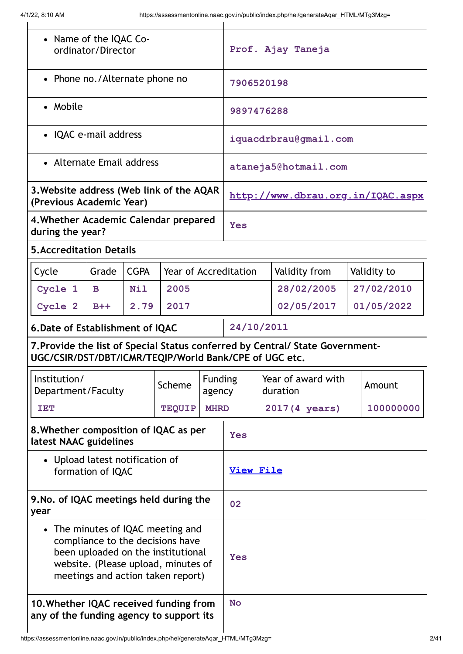| • Name of the IQAC Co-<br>ordinator/Director                                                                                                                                            |              | Prof. Ajay Taneja |                              |                                |                       |                                   |               |            |             |
|-----------------------------------------------------------------------------------------------------------------------------------------------------------------------------------------|--------------|-------------------|------------------------------|--------------------------------|-----------------------|-----------------------------------|---------------|------------|-------------|
| • Phone no./Alternate phone no                                                                                                                                                          |              | 7906520198        |                              |                                |                       |                                   |               |            |             |
| • Mobile                                                                                                                                                                                |              |                   |                              |                                | 9897476288            |                                   |               |            |             |
| • IQAC e-mail address                                                                                                                                                                   |              |                   |                              |                                | iquacdrbrau@gmail.com |                                   |               |            |             |
| • Alternate Email address                                                                                                                                                               |              |                   |                              |                                | ataneja5@hotmail.com  |                                   |               |            |             |
| 3. Website address (Web link of the AQAR<br>(Previous Academic Year)                                                                                                                    |              |                   |                              |                                |                       | http://www.dbrau.org.in/IQAC.aspx |               |            |             |
| 4. Whether Academic Calendar prepared<br>during the year?                                                                                                                               |              |                   |                              |                                | <b>Yes</b>            |                                   |               |            |             |
| <b>5. Accreditation Details</b>                                                                                                                                                         |              |                   |                              |                                |                       |                                   |               |            |             |
| Cycle                                                                                                                                                                                   | Grade        | <b>CGPA</b>       | <b>Year of Accreditation</b> |                                |                       |                                   | Validity from |            | Validity to |
| Cycle 1                                                                                                                                                                                 | $\mathbf{B}$ | <b>Nil</b>        | 2005                         |                                |                       | 28/02/2005                        |               | 27/02/2010 |             |
| Cycle 2                                                                                                                                                                                 | $B++$        | 2.79              | 2017                         |                                |                       | 02/05/2017<br>01/05/2022          |               |            |             |
| 6. Date of Establishment of IQAC                                                                                                                                                        |              |                   |                              |                                | 24/10/2011            |                                   |               |            |             |
| 7. Provide the list of Special Status conferred by Central/ State Government-<br>UGC/CSIR/DST/DBT/ICMR/TEQIP/World Bank/CPE of UGC etc.                                                 |              |                   |                              |                                |                       |                                   |               |            |             |
| Institution/<br><b>Funding</b><br>Scheme<br>Department/Faculty<br>agency                                                                                                                |              |                   |                              | Year of award with<br>duration |                       | Amount                            |               |            |             |
| TET                                                                                                                                                                                     |              |                   | <b>TEQUIP</b>                | <b>MHRD</b>                    | 2017 (4 years)        |                                   | 100000000     |            |             |
| 8. Whether composition of IQAC as per<br>latest NAAC guidelines                                                                                                                         |              |                   | Yes                          |                                |                       |                                   |               |            |             |
| Upload latest notification of<br>$\bullet$<br>formation of IQAC                                                                                                                         |              | <b>View File</b>  |                              |                                |                       |                                   |               |            |             |
| 9. No. of IQAC meetings held during the<br>year                                                                                                                                         |              | 02                |                              |                                |                       |                                   |               |            |             |
| • The minutes of IQAC meeting and<br>compliance to the decisions have<br>been uploaded on the institutional<br>website. (Please upload, minutes of<br>meetings and action taken report) |              | Yes               |                              |                                |                       |                                   |               |            |             |
| 10. Whether IQAC received funding from<br>any of the funding agency to support its                                                                                                      |              | <b>No</b>         |                              |                                |                       |                                   |               |            |             |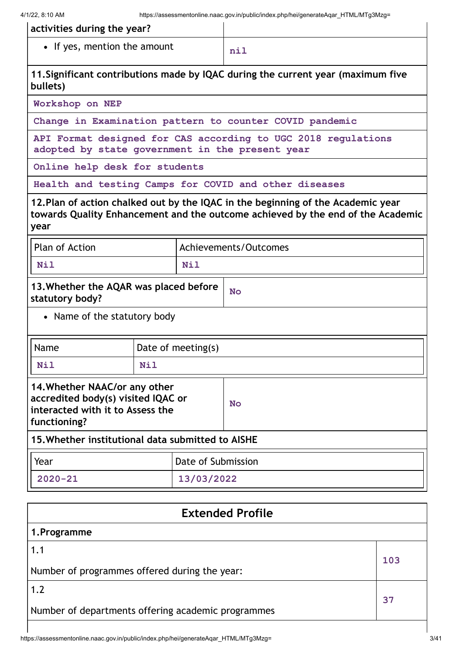| activities during the year?  |     |
|------------------------------|-----|
| • If yes, mention the amount | nil |

**11.Significant contributions made by IQAC during the current year (maximum five bullets)**

**Workshop on NEP**

**Change in Examination pattern to counter COVID pandemic**

**API Format designed for CAS according to UGC 2018 regulations adopted by state government in the present year**

**Online help desk for students**

**Health and testing Camps for COVID and other diseases**

**12.Plan of action chalked out by the IQAC in the beginning of the Academic year towards Quality Enhancement and the outcome achieved by the end of the Academic year**

| Plan of Action                |                                        | Achievements/Outcomes |  |
|-------------------------------|----------------------------------------|-----------------------|--|
| <b>Nil</b>                    | <b>Nil</b>                             |                       |  |
| statutory body?               | 13. Whether the AQAR was placed before | <b>No</b>             |  |
| • Name of the statutory body  |                                        |                       |  |
| Name                          | Date of meeting(s)                     |                       |  |
| <b>Nil</b>                    | <b>Nil</b>                             |                       |  |
| 14. Whether NAAC/or any other |                                        |                       |  |

|                                                   | 14. Whether NAAC/Or any other<br>accredited body(s) visited IQAC or<br>interacted with it to Assess the<br>functioning? |                    | <b>No</b> |
|---------------------------------------------------|-------------------------------------------------------------------------------------------------------------------------|--------------------|-----------|
| 15. Whether institutional data submitted to AISHE |                                                                                                                         |                    |           |
|                                                   | Year                                                                                                                    | Date of Submission |           |
|                                                   | $2020 - 21$                                                                                                             | 13/03/2022         |           |

| <b>Extended Profile</b>                            |     |
|----------------------------------------------------|-----|
| 1.Programme                                        |     |
| 1.1                                                | 103 |
| Number of programmes offered during the year:      |     |
| 1.2                                                | 37  |
| Number of departments offering academic programmes |     |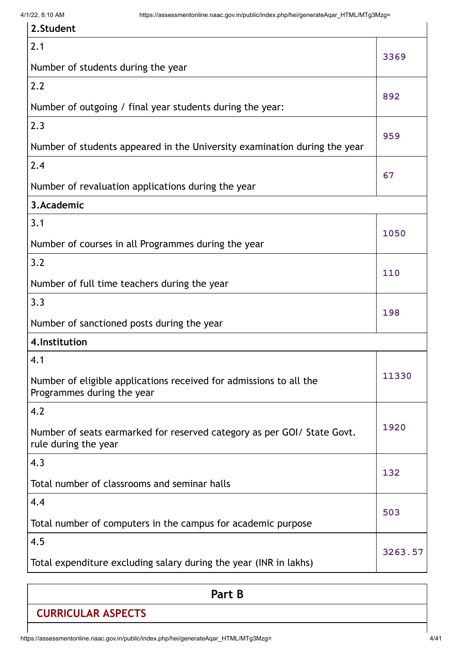| 2. Student                                                                                       |         |
|--------------------------------------------------------------------------------------------------|---------|
| 2.1                                                                                              | 3369    |
| Number of students during the year                                                               |         |
| 2.2                                                                                              | 892     |
| Number of outgoing / final year students during the year:                                        |         |
| 2.3                                                                                              | 959     |
| Number of students appeared in the University examination during the year                        |         |
| 2.4                                                                                              |         |
| Number of revaluation applications during the year                                               | 67      |
| 3.Academic                                                                                       |         |
| 3.1                                                                                              | 1050    |
| Number of courses in all Programmes during the year                                              |         |
| 3.2                                                                                              | 110     |
| Number of full time teachers during the year                                                     |         |
| 3.3                                                                                              | 198     |
| Number of sanctioned posts during the year                                                       |         |
| 4. Institution                                                                                   |         |
| 4.1                                                                                              |         |
| Number of eligible applications received for admissions to all the<br>Programmes during the year | 11330   |
| 4.2                                                                                              |         |
| Number of seats earmarked for reserved category as per GOI/ State Govt.<br>rule during the year  | 1920    |
| 4.3                                                                                              |         |
| Total number of classrooms and seminar halls                                                     | 132     |
| 4.4                                                                                              |         |
| Total number of computers in the campus for academic purpose                                     | 503     |
| 4.5                                                                                              |         |
| Total expenditure excluding salary during the year (INR in lakhs)                                | 3263.57 |

|                           | Part B |  |
|---------------------------|--------|--|
| <b>CURRICULAR ASPECTS</b> |        |  |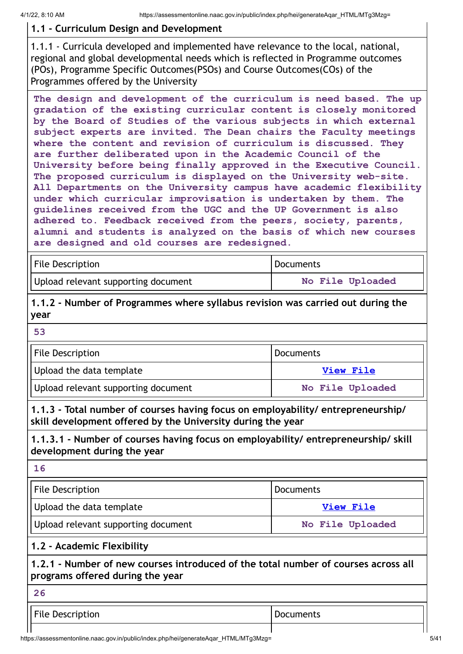# **1.1 - Curriculum Design and Development**

1.1.1 - Curricula developed and implemented have relevance to the local, national, regional and global developmental needs which is reflected in Programme outcomes (POs), Programme Specific Outcomes(PSOs) and Course Outcomes(COs) of the Programmes offered by the University

**The design and development of the curriculum is need based. The up gradation of the existing curricular content is closely monitored by the Board of Studies of the various subjects in which external subject experts are invited. The Dean chairs the Faculty meetings where the content and revision of curriculum is discussed. They are further deliberated upon in the Academic Council of the University before being finally approved in the Executive Council. The proposed curriculum is displayed on the University web-site. All Departments on the University campus have academic flexibility under which curricular improvisation is undertaken by them. The guidelines received from the UGC and the UP Government is also adhered to. Feedback received from the peers, society, parents, alumni and students is analyzed on the basis of which new courses are designed and old courses are redesigned.**

| <b>File Description</b>             | <b>Documents</b> |
|-------------------------------------|------------------|
| Upload relevant supporting document | No File Uploaded |

**1.1.2 - Number of Programmes where syllabus revision was carried out during the year**

**53**

| File Description                    | Documents        |
|-------------------------------------|------------------|
| Upload the data template            | View File        |
| Upload relevant supporting document | No File Uploaded |

**1.1.3 - Total number of courses having focus on employability/ entrepreneurship/ skill development offered by the University during the year**

**1.1.3.1 - Number of courses having focus on employability/ entrepreneurship/ skill development during the year**

**16**

| File Description                    | Documents        |
|-------------------------------------|------------------|
| Upload the data template            | <b>View File</b> |
| Upload relevant supporting document | No File Uploaded |

#### **1.2 - Academic Flexibility**

#### **1.2.1 - Number of new courses introduced of the total number of courses across all programs offered during the year**

**26**

File Description and Documents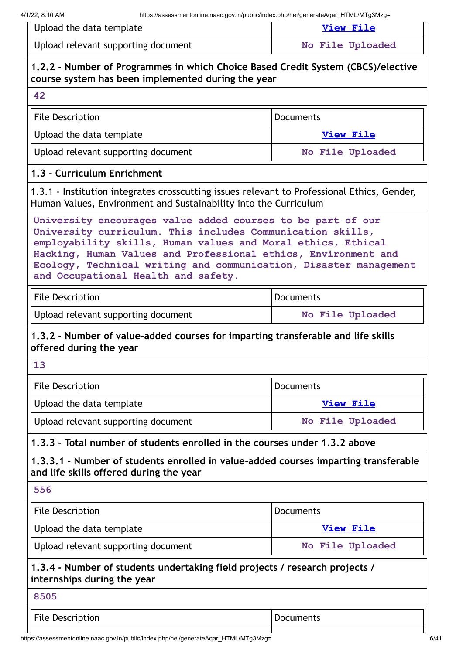| illips.//assessifieritoriillie.fiaac.gov.ili/public/illuex.prip/fie/gefierateAqaFTTTME/MTgJWZg-<br>Upload the data template                                                                                                                                                                                                                                             | <b>View File</b> |  |  |  |
|-------------------------------------------------------------------------------------------------------------------------------------------------------------------------------------------------------------------------------------------------------------------------------------------------------------------------------------------------------------------------|------------------|--|--|--|
| Upload relevant supporting document                                                                                                                                                                                                                                                                                                                                     | No File Uploaded |  |  |  |
| 1.2.2 - Number of Programmes in which Choice Based Credit System (CBCS)/elective<br>course system has been implemented during the year                                                                                                                                                                                                                                  |                  |  |  |  |
| 42                                                                                                                                                                                                                                                                                                                                                                      |                  |  |  |  |
| <b>File Description</b>                                                                                                                                                                                                                                                                                                                                                 | <b>Documents</b> |  |  |  |
| Upload the data template                                                                                                                                                                                                                                                                                                                                                | <b>View File</b> |  |  |  |
| Upload relevant supporting document                                                                                                                                                                                                                                                                                                                                     | No File Uploaded |  |  |  |
| 1.3 - Curriculum Enrichment                                                                                                                                                                                                                                                                                                                                             |                  |  |  |  |
| 1.3.1 - Institution integrates crosscutting issues relevant to Professional Ethics, Gender,<br>Human Values, Environment and Sustainability into the Curriculum                                                                                                                                                                                                         |                  |  |  |  |
| University encourages value added courses to be part of our<br>University curriculum. This includes Communication skills,<br>employability skills, Human values and Moral ethics, Ethical<br>Hacking, Human Values and Professional ethics, Environment and<br>Ecology, Technical writing and communication, Disaster management<br>and Occupational Health and safety. |                  |  |  |  |
| <b>File Description</b>                                                                                                                                                                                                                                                                                                                                                 | <b>Documents</b> |  |  |  |
| Upload relevant supporting document                                                                                                                                                                                                                                                                                                                                     | No File Uploaded |  |  |  |
| 1.3.2 - Number of value-added courses for imparting transferable and life skills<br>offered during the year                                                                                                                                                                                                                                                             |                  |  |  |  |
| 13                                                                                                                                                                                                                                                                                                                                                                      |                  |  |  |  |
| <b>File Description</b>                                                                                                                                                                                                                                                                                                                                                 | <b>Documents</b> |  |  |  |
| Upload the data template                                                                                                                                                                                                                                                                                                                                                | <b>View File</b> |  |  |  |
| Upload relevant supporting document                                                                                                                                                                                                                                                                                                                                     | No File Uploaded |  |  |  |
| 1.3.3 - Total number of students enrolled in the courses under 1.3.2 above                                                                                                                                                                                                                                                                                              |                  |  |  |  |
| 1.3.3.1 - Number of students enrolled in value-added courses imparting transferable<br>and life skills offered during the year                                                                                                                                                                                                                                          |                  |  |  |  |
| 556                                                                                                                                                                                                                                                                                                                                                                     |                  |  |  |  |
| <b>File Description</b>                                                                                                                                                                                                                                                                                                                                                 | <b>Documents</b> |  |  |  |
| Upload the data template                                                                                                                                                                                                                                                                                                                                                | <b>View File</b> |  |  |  |
| Upload relevant supporting document                                                                                                                                                                                                                                                                                                                                     | No File Uploaded |  |  |  |
| 1.3.4 - Number of students undertaking field projects / research projects /<br>internships during the year                                                                                                                                                                                                                                                              |                  |  |  |  |
| 8505                                                                                                                                                                                                                                                                                                                                                                    |                  |  |  |  |
| <b>File Description</b>                                                                                                                                                                                                                                                                                                                                                 | <b>Documents</b> |  |  |  |
|                                                                                                                                                                                                                                                                                                                                                                         |                  |  |  |  |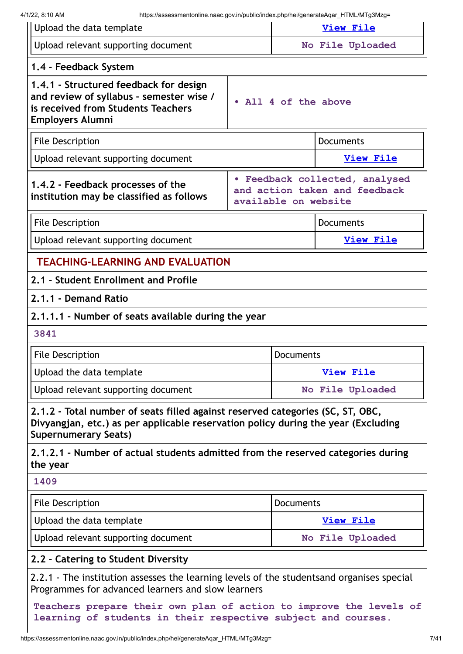| Upload the data template                                                                                                                                                                           |  |                                                                 | <b>View File</b> |
|----------------------------------------------------------------------------------------------------------------------------------------------------------------------------------------------------|--|-----------------------------------------------------------------|------------------|
| Upload relevant supporting document                                                                                                                                                                |  |                                                                 | No File Uploaded |
| 1.4 - Feedback System                                                                                                                                                                              |  |                                                                 |                  |
| 1.4.1 - Structured feedback for design<br>and review of syllabus - semester wise /<br>• All 4 of the above<br>is received from Students Teachers<br><b>Employers Alumni</b>                        |  |                                                                 |                  |
| <b>File Description</b>                                                                                                                                                                            |  | <b>Documents</b>                                                |                  |
| Upload relevant supporting document                                                                                                                                                                |  |                                                                 | <b>View File</b> |
| 1.4.2 - Feedback processes of the<br>institution may be classified as follows<br>available on website                                                                                              |  | · Feedback collected, analysed<br>and action taken and feedback |                  |
| <b>File Description</b><br><b>Documents</b>                                                                                                                                                        |  |                                                                 |                  |
| Upload relevant supporting document                                                                                                                                                                |  |                                                                 | <b>View File</b> |
| <b>TEACHING-LEARNING AND EVALUATION</b>                                                                                                                                                            |  |                                                                 |                  |
| 2.1 - Student Enrollment and Profile                                                                                                                                                               |  |                                                                 |                  |
| 2.1.1 - Demand Ratio                                                                                                                                                                               |  |                                                                 |                  |
| 2.1.1.1 - Number of seats available during the year                                                                                                                                                |  |                                                                 |                  |
| 3841                                                                                                                                                                                               |  |                                                                 |                  |
| <b>File Description</b>                                                                                                                                                                            |  | <b>Documents</b>                                                |                  |
| Upload the data template                                                                                                                                                                           |  |                                                                 | <b>View File</b> |
| Upload relevant supporting document                                                                                                                                                                |  |                                                                 | No File Uploaded |
| 2.1.2 - Total number of seats filled against reserved categories (SC, ST, OBC,<br>Divyangjan, etc.) as per applicable reservation policy during the year (Excluding<br><b>Supernumerary Seats)</b> |  |                                                                 |                  |
| 2.1.2.1 - Number of actual students admitted from the reserved categories during<br>the year                                                                                                       |  |                                                                 |                  |
| 1409                                                                                                                                                                                               |  |                                                                 |                  |
| <b>File Description</b>                                                                                                                                                                            |  | <b>Documents</b>                                                |                  |
| Upload the data template                                                                                                                                                                           |  |                                                                 | <b>View File</b> |
| Upload relevant supporting document                                                                                                                                                                |  |                                                                 | No File Uploaded |
| 2.2 - Catering to Student Diversity                                                                                                                                                                |  |                                                                 |                  |
| 2.2.1 - The institution assesses the learning levels of the studentsand organises special<br>Programmes for advanced learners and slow learners                                                    |  |                                                                 |                  |
| Teachers prepare their own plan of action to improve the levels of<br>learning of students in their respective subject and courses.                                                                |  |                                                                 |                  |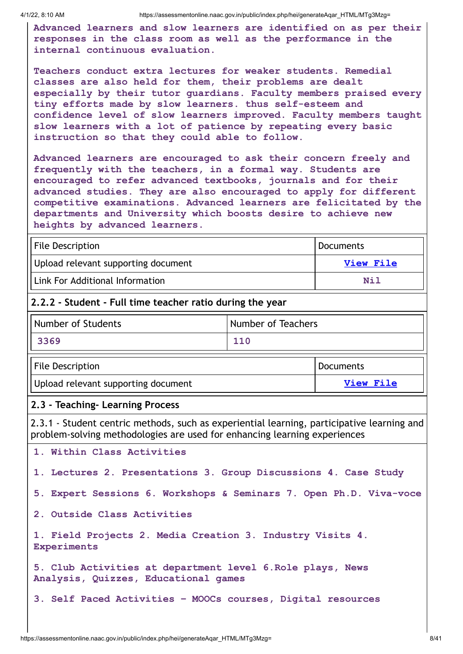4/1/22, 8:10 AM https://assessmentonline.naac.gov.in/public/index.php/hei/generateAqar\_HTML/MTg3Mzg=

**Advanced learners and slow learners are identified on as per their responses in the class room as well as the performance in the internal continuous evaluation.**

**Teachers conduct extra lectures for weaker students. Remedial classes are also held for them, their problems are dealt especially by their tutor guardians. Faculty members praised every tiny efforts made by slow learners. thus self-esteem and confidence level of slow learners improved. Faculty members taught slow learners with a lot of patience by repeating every basic instruction so that they could able to follow.**

**Advanced learners are encouraged to ask their concern freely and frequently with the teachers, in a formal way. Students are encouraged to refer advanced textbooks, journals and for their advanced studies. They are also encouraged to apply for different competitive examinations. Advanced learners are felicitated by the departments and University which boosts desire to achieve new heights by advanced learners.**

| File Description                    | <sup>I</sup> Documents |
|-------------------------------------|------------------------|
| Upload relevant supporting document | View File              |
| Link For Additional Information     | Nil                    |

#### **2.2.2 - Student - Full time teacher ratio during the year**

| Number of Students | Number of Teachers |
|--------------------|--------------------|
| 3369               | 110                |

| <b>File Description</b>             | Documents |
|-------------------------------------|-----------|
| Upload relevant supporting document | View File |

#### **2.3 - Teaching- Learning Process**

2.3.1 - Student centric methods, such as experiential learning, participative learning and problem-solving methodologies are used for enhancing learning experiences

**1. Within Class Activities 1. Lectures 2. Presentations 3. Group Discussions 4. Case Study 5. Expert Sessions 6. Workshops & Seminars 7. Open Ph.D. Viva-voce 2. Outside Class Activities 1. Field Projects 2. Media Creation 3. Industry Visits 4. Experiments 5. Club Activities at department level 6.Role plays, News Analysis, Quizzes, Educational games 3. Self Paced Activities – MOOCs courses, Digital resources**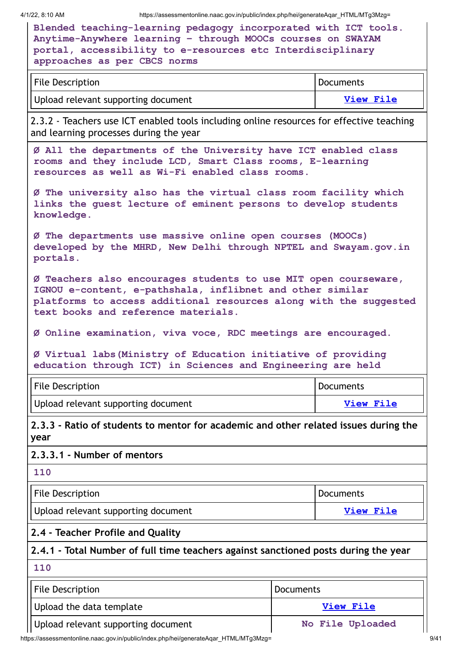4/1/22, 8:10 AM https://assessmentonline.naac.gov.in/public/index.php/hei/generateAqar\_HTML/MTg3Mzg=

| Blended teaching-learning pedagogy incorporated with ICT tools. |
|-----------------------------------------------------------------|
| Anytime-Anywhere learning - through MOOCs courses on SWAYAM     |
| portal, accessibility to e-resources etc Interdisciplinary      |
| approaches as per CBCS norms                                    |

| File Description                    | Documents |
|-------------------------------------|-----------|
| Upload relevant supporting document | View File |

2.3.2 - Teachers use ICT enabled tools including online resources for effective teaching and learning processes during the year

**Ø All the departments of the University have ICT enabled class rooms and they include LCD, Smart Class rooms, E-learning resources as well as Wi-Fi enabled class rooms.**

**Ø The university also has the virtual class room facility which links the guest lecture of eminent persons to develop students knowledge.**

**Ø The departments use massive online open courses (MOOCs) developed by the MHRD, New Delhi through NPTEL and Swayam.gov.in portals.**

**Ø Teachers also encourages students to use MIT open courseware, IGNOU e-content, e-pathshala, inflibnet and other similar platforms to access additional resources along with the suggested text books and reference materials.**

**Ø Online examination, viva voce, RDC meetings are encouraged.**

**Ø Virtual labs(Ministry of Education initiative of providing education through ICT) in Sciences and Engineering are held**

| <b>File Description</b>             | Documents |
|-------------------------------------|-----------|
| Upload relevant supporting document | View File |

**2.3.3 - Ratio of students to mentor for academic and other related issues during the year**

#### **2.3.3.1 - Number of mentors**

| File Description                    | <b>Documents</b> |
|-------------------------------------|------------------|
| Upload relevant supporting document | <b>View File</b> |

#### **2.4 - Teacher Profile and Quality**

#### **2.4.1 - Total Number of full time teachers against sanctioned posts during the year**

**110**

**110**

| File Description                    | Documents        |
|-------------------------------------|------------------|
| Upload the data template            | View File        |
| Upload relevant supporting document | No File Uploaded |

https://assessmentonline.naac.gov.in/public/index.php/hei/generateAqar\_HTML/MTg3Mzg= 9/41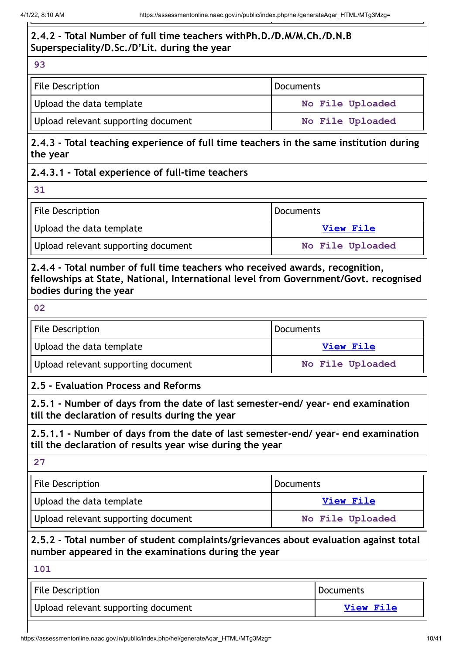# **2.4.2 - Total Number of full time teachers withPh.D./D.M/M.Ch./D.N.B Superspeciality/D.Sc./D'Lit. during the year**

**93**

| File Description                    | Documents        |
|-------------------------------------|------------------|
| Upload the data template            | No File Uploaded |
| Upload relevant supporting document | No File Uploaded |

**2.4.3 - Total teaching experience of full time teachers in the same institution during the year**

# **2.4.3.1 - Total experience of full-time teachers**

**31**

| File Description                    | Documents        |
|-------------------------------------|------------------|
| Upload the data template            | <b>View File</b> |
| Upload relevant supporting document | No File Uploaded |

# **2.4.4 - Total number of full time teachers who received awards, recognition, fellowships at State, National, International level from Government/Govt. recognised bodies during the year**

**02**

| File Description                    | Documents        |
|-------------------------------------|------------------|
| Upload the data template            | View File        |
| Upload relevant supporting document | No File Uploaded |

# **2.5 - Evaluation Process and Reforms**

**2.5.1 - Number of days from the date of last semester-end/ year- end examination till the declaration of results during the year**

**2.5.1.1 - Number of days from the date of last semester-end/ year- end examination till the declaration of results year wise during the year**

| File Description                    | Documents        |  |
|-------------------------------------|------------------|--|
| Upload the data template            | View File        |  |
| Upload relevant supporting document | No File Uploaded |  |

**2.5.2 - Total number of student complaints/grievances about evaluation against total number appeared in the examinations during the year**

| 101                                 |           |
|-------------------------------------|-----------|
| File Description                    | Documents |
| Upload relevant supporting document | View File |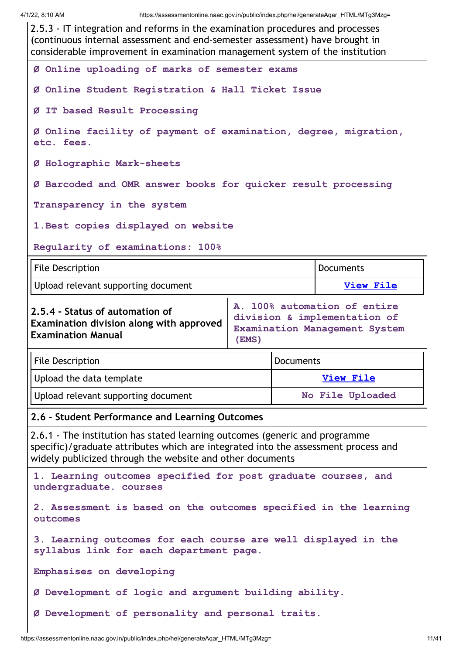2.5.3 - IT integration and reforms in the examination procedures and processes (continuous internal assessment and end-semester assessment) have brought in considerable improvement in examination management system of the institution **Ø Online uploading of marks of semester exams Ø Online Student Registration & Hall Ticket Issue Ø IT based Result Processing Ø Online facility of payment of examination, degree, migration, etc. fees. Ø Holographic Mark-sheets Ø Barcoded and OMR answer books for quicker result processing Transparency in the system 1.Best copies displayed on website Regularity of examinations: 100%** File Description **Documents** Upload relevant supporting document **View [File](https://assessmentonline.naac.gov.in/storage/app/public/aqar/18738/18738_331_768.docx?1648780789) 2.5.4 - Status of automation of Examination division along with approved Examination Manual A. 100% automation of entire division & implementation of Examination Management System (EMS)** File Description **Documents** Upload the data template **View [File](https://assessmentonline.naac.gov.in/storage/app/public/aqar/18738/18738_332_769.xlsx?1648780789)** Upload relevant supporting document **No File Uploaded 2.6 - Student Performance and Learning Outcomes** 2.6.1 - The institution has stated learning outcomes (generic and programme specific)/graduate attributes which are integrated into the assessment process and widely publicized through the website and other documents **1. Learning outcomes specified for post graduate courses, and undergraduate. courses 2. Assessment is based on the outcomes specified in the learning outcomes 3. Learning outcomes for each course are well displayed in the syllabus link for each department page. Emphasises on developing Ø Development of logic and argument building ability. Ø Development of personality and personal traits.**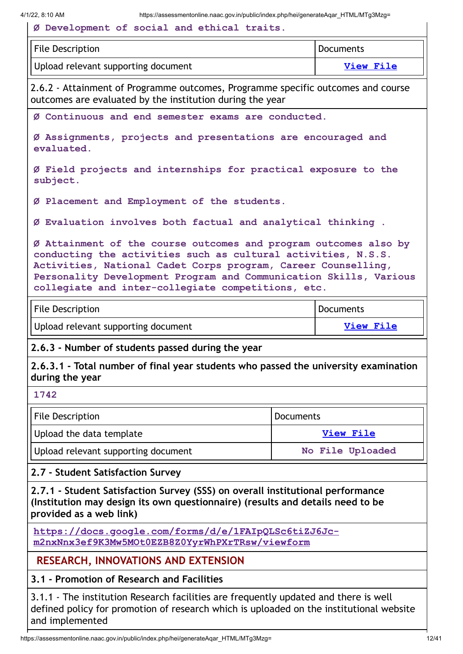| <b>File Description</b>                                                                                                                                                                                                                                                                                                       |           | <b>Documents</b> |
|-------------------------------------------------------------------------------------------------------------------------------------------------------------------------------------------------------------------------------------------------------------------------------------------------------------------------------|-----------|------------------|
| Upload relevant supporting document                                                                                                                                                                                                                                                                                           |           | <b>View File</b> |
| 2.6.2 - Attainment of Programme outcomes, Programme specific outcomes and course<br>outcomes are evaluated by the institution during the year                                                                                                                                                                                 |           |                  |
| Ø Continuous and end semester exams are conducted.                                                                                                                                                                                                                                                                            |           |                  |
| Ø Assignments, projects and presentations are encouraged and<br>evaluated.                                                                                                                                                                                                                                                    |           |                  |
| Ø Field projects and internships for practical exposure to the<br>subject.                                                                                                                                                                                                                                                    |           |                  |
| Ø Placement and Employment of the students.                                                                                                                                                                                                                                                                                   |           |                  |
| Ø Evaluation involves both factual and analytical thinking.                                                                                                                                                                                                                                                                   |           |                  |
| Ø Attainment of the course outcomes and program outcomes also by<br>conducting the activities such as cultural activities, N.S.S.<br>Activities, National Cadet Corps program, Career Counselling,<br>Personality Development Program and Communication Skills, Various<br>collegiate and inter-collegiate competitions, etc. |           |                  |
| <b>File Description</b>                                                                                                                                                                                                                                                                                                       |           | <b>Documents</b> |
| Upload relevant supporting document                                                                                                                                                                                                                                                                                           |           | <b>View File</b> |
| 2.6.3 - Number of students passed during the year                                                                                                                                                                                                                                                                             |           |                  |
| 2.6.3.1 - Total number of final year students who passed the university examination<br>during the year                                                                                                                                                                                                                        |           |                  |
| 1742                                                                                                                                                                                                                                                                                                                          |           |                  |
| <b>File Description</b>                                                                                                                                                                                                                                                                                                       | Documents |                  |
| Upload the data template                                                                                                                                                                                                                                                                                                      |           | <b>View File</b> |
| Upload relevant supporting document                                                                                                                                                                                                                                                                                           |           | No File Uploaded |
| 2.7 - Student Satisfaction Survey                                                                                                                                                                                                                                                                                             |           |                  |
| 2.7.1 - Student Satisfaction Survey (SSS) on overall institutional performance<br>(Institution may design its own questionnaire) (results and details need to be<br>provided as a web link)                                                                                                                                   |           |                  |
|                                                                                                                                                                                                                                                                                                                               |           |                  |
| https://docs.google.com/forms/d/e/1FAIpQLSc6tiZJ6Jc-<br>m2nxNnx3ef9K3Mw5MOt0EZB8Z0YyrWhPXrTRsw/viewform                                                                                                                                                                                                                       |           |                  |
| <b>RESEARCH, INNOVATIONS AND EXTENSION</b>                                                                                                                                                                                                                                                                                    |           |                  |

https://assessmentonline.naac.gov.in/public/index.php/hei/generateAqar\_HTML/MTg3Mzg= 12/41

and implemented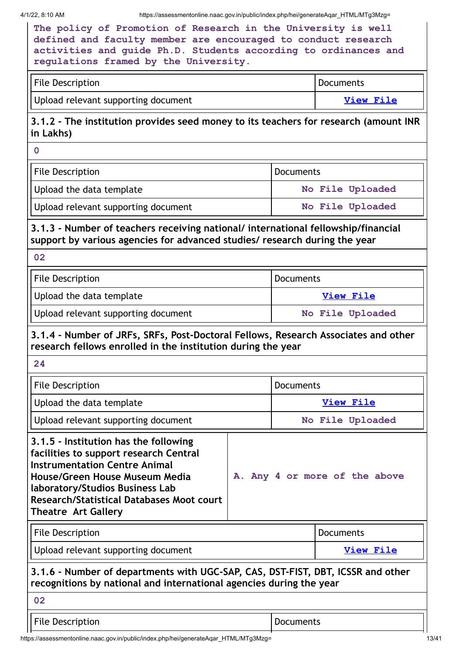4/1/22, 8:10 AM https://assessmentonline.naac.gov.in/public/index.php/hei/generateAqar\_HTML/MTg3Mzg=

| The policy of Promotion of Research in the University is well   |
|-----------------------------------------------------------------|
| defined and faculty member are encouraged to conduct research   |
| activities and quide Ph.D. Students according to ordinances and |
| regulations framed by the University.                           |

| <b>File Description</b>             | Documents |
|-------------------------------------|-----------|
| Upload relevant supporting document | View File |

# **3.1.2 - The institution provides seed money to its teachers for research (amount INR in Lakhs)**

**0**

| <b>File Description</b>             | Documents        |  |
|-------------------------------------|------------------|--|
| Upload the data template            | No File Uploaded |  |
| Upload relevant supporting document | No File Uploaded |  |

# **3.1.3 - Number of teachers receiving national/ international fellowship/financial support by various agencies for advanced studies/ research during the year**

| File Description                    | <b>I</b> Documents |  |
|-------------------------------------|--------------------|--|
| Upload the data template            | View File          |  |
| Upload relevant supporting document | No File Uploaded   |  |

# **3.1.4 - Number of JRFs, SRFs, Post-Doctoral Fellows, Research Associates and other research fellows enrolled in the institution during the year**

| 24                                                                                                                                                                                                                                                                             |                               |                  |                  |
|--------------------------------------------------------------------------------------------------------------------------------------------------------------------------------------------------------------------------------------------------------------------------------|-------------------------------|------------------|------------------|
| <b>File Description</b>                                                                                                                                                                                                                                                        |                               | <b>Documents</b> |                  |
| Upload the data template                                                                                                                                                                                                                                                       |                               |                  | View File        |
| Upload relevant supporting document                                                                                                                                                                                                                                            |                               | No File Uploaded |                  |
| 3.1.5 - Institution has the following<br>facilities to support research Central<br><b>Instrumentation Centre Animal</b><br>House/Green House Museum Media<br>laboratory/Studios Business Lab<br><b>Research/Statistical Databases Moot court</b><br><b>Theatre Art Gallery</b> | A. Any 4 or more of the above |                  |                  |
| <b>File Description</b>                                                                                                                                                                                                                                                        |                               |                  | Documents        |
| Upload relevant supporting document                                                                                                                                                                                                                                            |                               |                  | <b>View File</b> |
| 3.1.6 - Number of departments with UGC-SAP, CAS, DST-FIST, DBT, ICSSR and other<br>recognitions by national and international agencies during the year                                                                                                                         |                               |                  |                  |
| 02                                                                                                                                                                                                                                                                             |                               |                  |                  |
| <b>File Description</b>                                                                                                                                                                                                                                                        |                               | Documents        |                  |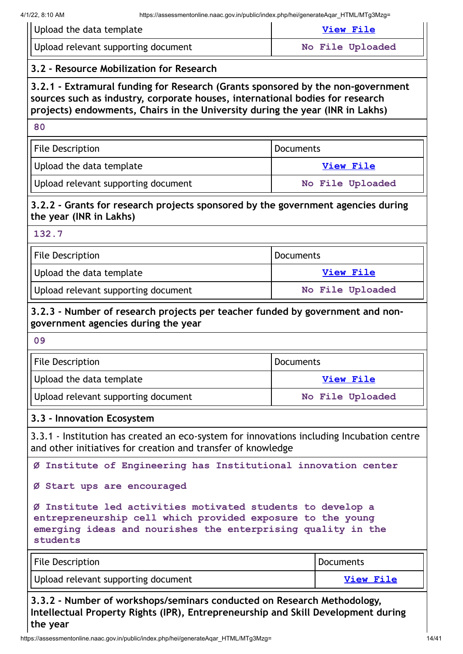| 4/1/22, 8:10 AM                                                                                                                                                                                                                                   | https://assessmentonline.naac.gov.in/public/index.php/hei/generateAgar HTML/MTg3Mzg= |  |
|---------------------------------------------------------------------------------------------------------------------------------------------------------------------------------------------------------------------------------------------------|--------------------------------------------------------------------------------------|--|
| Upload the data template                                                                                                                                                                                                                          | <b>View File</b>                                                                     |  |
| Upload relevant supporting document                                                                                                                                                                                                               | No File Uploaded                                                                     |  |
| 3.2 - Resource Mobilization for Research                                                                                                                                                                                                          |                                                                                      |  |
| 3.2.1 - Extramural funding for Research (Grants sponsored by the non-government<br>sources such as industry, corporate houses, international bodies for research<br>projects) endowments, Chairs in the University during the year (INR in Lakhs) |                                                                                      |  |
| 80                                                                                                                                                                                                                                                |                                                                                      |  |
| <b>File Description</b>                                                                                                                                                                                                                           | <b>Documents</b>                                                                     |  |
| Upload the data template                                                                                                                                                                                                                          | <b>View File</b>                                                                     |  |
| Upload relevant supporting document                                                                                                                                                                                                               | No File Uploaded                                                                     |  |
| 3.2.2 - Grants for research projects sponsored by the government agencies during<br>the year (INR in Lakhs)                                                                                                                                       |                                                                                      |  |
| 132.7                                                                                                                                                                                                                                             |                                                                                      |  |
| <b>File Description</b>                                                                                                                                                                                                                           | Documents                                                                            |  |

| Upload the data template            | View File        |
|-------------------------------------|------------------|
| Upload relevant supporting document | No File Uploaded |

#### **3.2.3 - Number of research projects per teacher funded by government and nongovernment agencies during the year**

| ۰.<br>w | × | I<br>w |
|---------|---|--------|
|         |   |        |

| File Description<br>Documents       |                  |
|-------------------------------------|------------------|
| Upload the data template            | View File        |
| Upload relevant supporting document | No File Uploaded |

#### **3.3 - Innovation Ecosystem**

3.3.1 - Institution has created an eco-system for innovations including Incubation centre and other initiatives for creation and transfer of knowledge

**Ø Institute of Engineering has Institutional innovation center**

#### **Ø Start ups are encouraged**

**Ø Institute led activities motivated students to develop a entrepreneurship cell which provided exposure to the young emerging ideas and nourishes the enterprising quality in the students**

| <b>File Description</b>             | Documents        |
|-------------------------------------|------------------|
| Upload relevant supporting document | <b>View File</b> |

**3.3.2 - Number of workshops/seminars conducted on Research Methodology, Intellectual Property Rights (IPR), Entrepreneurship and Skill Development during the year**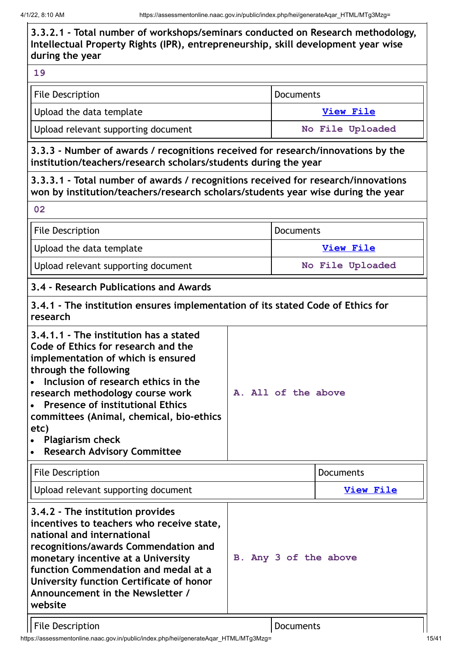4/1/22, 8:10 AM https://assessmentonline.naac.gov.in/public/index.php/hei/generateAqar\_HTML/MTg3Mzg= **3.3.2.1 - Total number of workshops/seminars conducted on Research methodology, Intellectual Property Rights (IPR), entrepreneurship, skill development year wise during the year 19** File Description **Documents** Upload the data template **View [File](https://assessmentonline.naac.gov.in/storage/app/public/aqar/18738/18738_347_793.xlsx?1648780789)** Upload relevant supporting document **No File Uploaded 3.3.3 - Number of awards / recognitions received for research/innovations by the institution/teachers/research scholars/students during the year 3.3.3.1 - Total number of awards / recognitions received for research/innovations won by institution/teachers/research scholars/students year wise during the year 02** File Description **Documents** Upload the data template **View [File](https://assessmentonline.naac.gov.in/storage/app/public/aqar/18738/18738_348_1736.xlsx?1648780789)** Upload relevant supporting document **No File Uploaded 3.4 - Research Publications and Awards 3.4.1 - The institution ensures implementation of its stated Code of Ethics for research 3.4.1.1 - The institution has a stated Code of Ethics for research and the implementation of which is ensured through the following Inclusion of research ethics in the**  $\bullet$ **A. All of the above research methodology course work Presence of institutional Ethics committees (Animal, chemical, bio-ethics etc) Plagiarism check Research Advisory Committee** File Description **Documents** Upload relevant supporting document **View [File](https://assessmentonline.naac.gov.in/storage/app/public/aqar/18738/18738_349_795.docx?1648780789) 3.4.2 - The institution provides incentives to teachers who receive state, national and international recognitions/awards Commendation and B. Any 3 of the above monetary incentive at a University function Commendation and medal at a University function Certificate of honor Announcement in the Newsletter / website** File Description and Documents

https://assessmentonline.naac.gov.in/public/index.php/hei/generateAqar\_HTML/MTg3Mzg= 15/41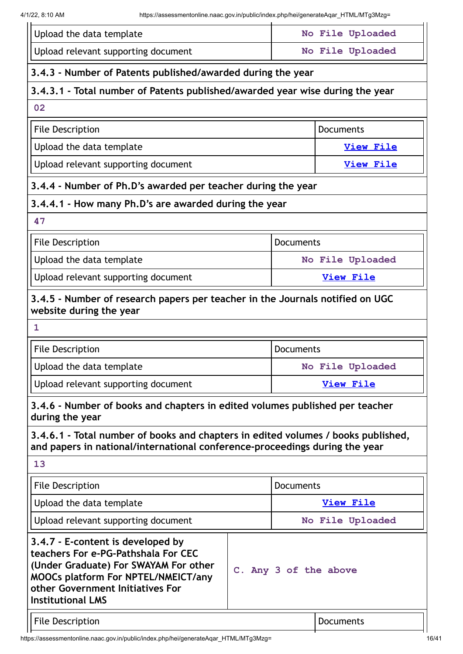| Upload the data template                                                                                                                                                                                                                          |  | No File Uploaded |                  |  |
|---------------------------------------------------------------------------------------------------------------------------------------------------------------------------------------------------------------------------------------------------|--|------------------|------------------|--|
| Upload relevant supporting document                                                                                                                                                                                                               |  |                  | No File Uploaded |  |
| 3.4.3 - Number of Patents published/awarded during the year                                                                                                                                                                                       |  |                  |                  |  |
| 3.4.3.1 - Total number of Patents published/awarded year wise during the year                                                                                                                                                                     |  |                  |                  |  |
| 02                                                                                                                                                                                                                                                |  |                  |                  |  |
| <b>File Description</b>                                                                                                                                                                                                                           |  |                  | <b>Documents</b> |  |
| Upload the data template                                                                                                                                                                                                                          |  |                  | <b>View File</b> |  |
| Upload relevant supporting document                                                                                                                                                                                                               |  |                  | <b>View File</b> |  |
| 3.4.4 - Number of Ph.D's awarded per teacher during the year                                                                                                                                                                                      |  |                  |                  |  |
| 3.4.4.1 - How many Ph.D's are awarded during the year                                                                                                                                                                                             |  |                  |                  |  |
| 47                                                                                                                                                                                                                                                |  |                  |                  |  |
| <b>File Description</b>                                                                                                                                                                                                                           |  | <b>Documents</b> |                  |  |
| Upload the data template                                                                                                                                                                                                                          |  |                  | No File Uploaded |  |
| Upload relevant supporting document                                                                                                                                                                                                               |  | <b>View File</b> |                  |  |
| 3.4.5 - Number of research papers per teacher in the Journals notified on UGC<br>website during the year                                                                                                                                          |  |                  |                  |  |
| $\mathbf{1}$                                                                                                                                                                                                                                      |  |                  |                  |  |
| <b>File Description</b>                                                                                                                                                                                                                           |  | <b>Documents</b> |                  |  |
| Upload the data template                                                                                                                                                                                                                          |  | No File Uploaded |                  |  |
| Upload relevant supporting document                                                                                                                                                                                                               |  |                  | <b>View File</b> |  |
| 3.4.6 - Number of books and chapters in edited volumes published per teacher<br>during the year                                                                                                                                                   |  |                  |                  |  |
| 3.4.6.1 - Total number of books and chapters in edited volumes / books published,<br>and papers in national/international conference-proceedings during the year                                                                                  |  |                  |                  |  |
| 13                                                                                                                                                                                                                                                |  |                  |                  |  |
| <b>File Description</b>                                                                                                                                                                                                                           |  | Documents        |                  |  |
| Upload the data template                                                                                                                                                                                                                          |  | <b>View File</b> |                  |  |
| Upload relevant supporting document                                                                                                                                                                                                               |  |                  | No File Uploaded |  |
| 3.4.7 - E-content is developed by<br>teachers For e-PG-Pathshala For CEC<br>(Under Graduate) For SWAYAM For other<br>C. Any 3 of the above<br>MOOCs platform For NPTEL/NMEICT/any<br>other Government Initiatives For<br><b>Institutional LMS</b> |  |                  |                  |  |
| <b>File Description</b>                                                                                                                                                                                                                           |  |                  | <b>Documents</b> |  |
|                                                                                                                                                                                                                                                   |  |                  |                  |  |

https://assessmentonline.naac.gov.in/public/index.php/hei/generateAqar\_HTML/MTg3Mzg= 16/41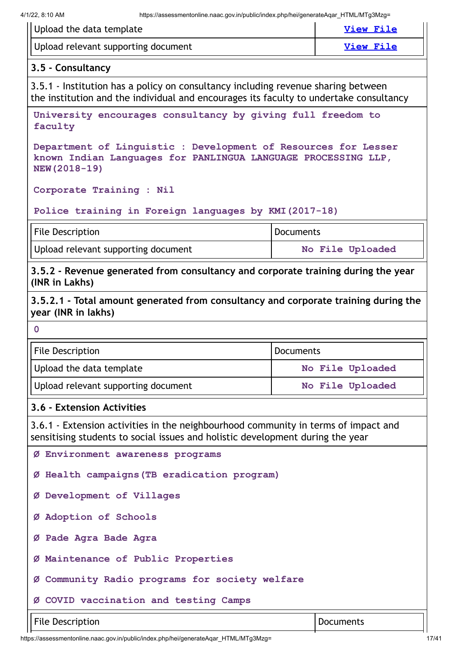| Upload the data template                                                                                                                                                    |                  | <b>View File</b> |
|-----------------------------------------------------------------------------------------------------------------------------------------------------------------------------|------------------|------------------|
| Upload relevant supporting document                                                                                                                                         |                  | <b>View File</b> |
| 3.5 - Consultancy                                                                                                                                                           |                  |                  |
| 3.5.1 - Institution has a policy on consultancy including revenue sharing between<br>the institution and the individual and encourages its faculty to undertake consultancy |                  |                  |
| University encourages consultancy by giving full freedom to<br>faculty                                                                                                      |                  |                  |
| Department of Linguistic : Development of Resources for Lesser<br>known Indian Languages for PANLINGUA LANGUAGE PROCESSING LLP,<br>NEW (2018-19)                            |                  |                  |
| Corporate Training : Nil                                                                                                                                                    |                  |                  |
| Police training in Foreign languages by KMI (2017-18)                                                                                                                       |                  |                  |
| <b>File Description</b>                                                                                                                                                     | <b>Documents</b> |                  |
| Upload relevant supporting document                                                                                                                                         |                  | No File Uploaded |
| 3.5.2 - Revenue generated from consultancy and corporate training during the year<br>(INR in Lakhs)                                                                         |                  |                  |
| 3.5.2.1 - Total amount generated from consultancy and corporate training during the<br>year (INR in lakhs)                                                                  |                  |                  |
| $\overline{0}$                                                                                                                                                              |                  |                  |
| <b>File Description</b>                                                                                                                                                     | <b>Documents</b> |                  |
| Upload the data template                                                                                                                                                    |                  | No File Uploaded |
| Upload relevant supporting document                                                                                                                                         | No File Uploaded |                  |
| 3.6 - Extension Activities                                                                                                                                                  |                  |                  |
| 3.6.1 - Extension activities in the neighbourhood community in terms of impact and<br>sensitising students to social issues and holistic development during the year        |                  |                  |
| Ø Environment awareness programs                                                                                                                                            |                  |                  |
| Ø Health campaigns (TB eradication program)                                                                                                                                 |                  |                  |
| Ø Development of Villages                                                                                                                                                   |                  |                  |
| Ø Adoption of Schools                                                                                                                                                       |                  |                  |
| Ø Pade Agra Bade Agra                                                                                                                                                       |                  |                  |
| Ø Maintenance of Public Properties                                                                                                                                          |                  |                  |
| Ø Community Radio programs for society welfare                                                                                                                              |                  |                  |
| Ø COVID vaccination and testing Camps                                                                                                                                       |                  |                  |
| <b>File Description</b><br><b>Documents</b>                                                                                                                                 |                  |                  |

https://assessmentonline.naac.gov.in/public/index.php/hei/generateAqar\_HTML/MTg3Mzg= 17/41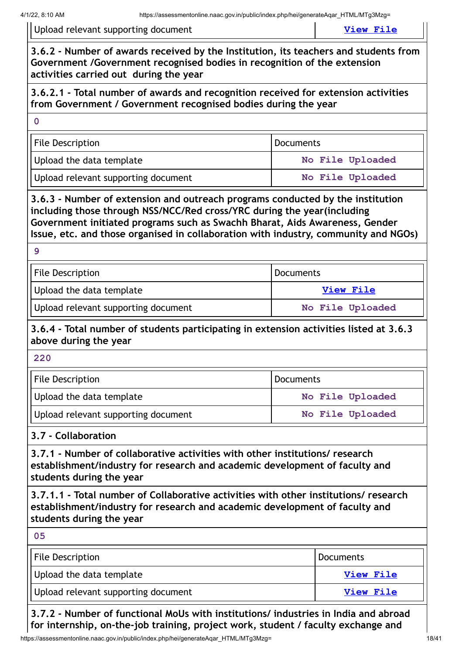Upload relevant supporting document **View [File](https://assessmentonline.naac.gov.in/storage/app/public/aqar/18738/18738_360_815.docx?1648780789)** 

**3.6.2 - Number of awards received by the Institution, its teachers and students from Government /Government recognised bodies in recognition of the extension activities carried out during the year**

**3.6.2.1 - Total number of awards and recognition received for extension activities from Government / Government recognised bodies during the year**

**0**

| File Description                    | Documents        |  |
|-------------------------------------|------------------|--|
| Upload the data template            | No File Uploaded |  |
| Upload relevant supporting document | No File Uploaded |  |

**3.6.3 - Number of extension and outreach programs conducted by the institution including those through NSS/NCC/Red cross/YRC during the year(including Government initiated programs such as Swachh Bharat, Aids Awareness, Gender Issue, etc. and those organised in collaboration with industry, community and NGOs)**

| .,           |  |
|--------------|--|
| ×<br>i<br>۰. |  |
| ٧<br>×<br>w  |  |

| File Description                      | Documents        |  |
|---------------------------------------|------------------|--|
| Upload the data template<br>View File |                  |  |
| Upload relevant supporting document   | No File Uploaded |  |

# **3.6.4 - Total number of students participating in extension activities listed at 3.6.3 above during the year**

| <b>File Description</b>             | Documents        |  |
|-------------------------------------|------------------|--|
| Upload the data template            | No File Uploaded |  |
| Upload relevant supporting document | No File Uploaded |  |

# **3.7 - Collaboration**

**3.7.1 - Number of collaborative activities with other institutions/ research establishment/industry for research and academic development of faculty and students during the year**

**3.7.1.1 - Total number of Collaborative activities with other institutions/ research establishment/industry for research and academic development of faculty and students during the year**

**05**

| File Description                    | Documents |
|-------------------------------------|-----------|
| Upload the data template            | View File |
| Upload relevant supporting document | View File |

**3.7.2 - Number of functional MoUs with institutions/ industries in India and abroad for internship, on-the-job training, project work, student / faculty exchange and**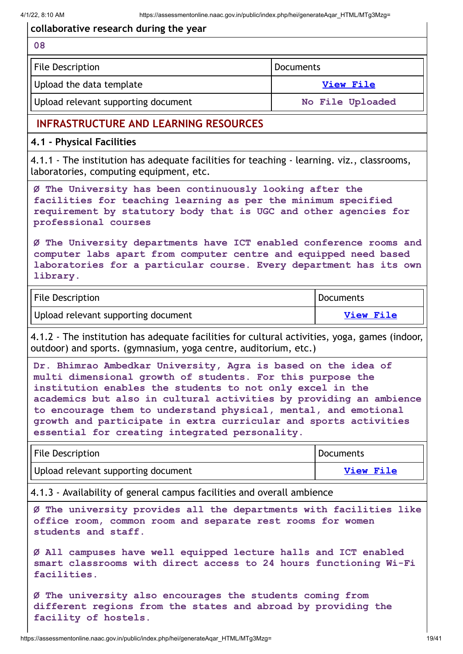$\mathbf{r}$ 

| collaborative research during the year                                                                                                                                                                                                                                                                                                                                                                                                                  |                  |                  |  |
|---------------------------------------------------------------------------------------------------------------------------------------------------------------------------------------------------------------------------------------------------------------------------------------------------------------------------------------------------------------------------------------------------------------------------------------------------------|------------------|------------------|--|
| 08                                                                                                                                                                                                                                                                                                                                                                                                                                                      |                  |                  |  |
| <b>File Description</b>                                                                                                                                                                                                                                                                                                                                                                                                                                 | <b>Documents</b> |                  |  |
| Upload the data template                                                                                                                                                                                                                                                                                                                                                                                                                                | <b>View File</b> |                  |  |
| Upload relevant supporting document                                                                                                                                                                                                                                                                                                                                                                                                                     |                  | No File Uploaded |  |
| <b>INFRASTRUCTURE AND LEARNING RESOURCES</b>                                                                                                                                                                                                                                                                                                                                                                                                            |                  |                  |  |
| 4.1 - Physical Facilities                                                                                                                                                                                                                                                                                                                                                                                                                               |                  |                  |  |
| 4.1.1 - The institution has adequate facilities for teaching - learning. viz., classrooms,<br>laboratories, computing equipment, etc.                                                                                                                                                                                                                                                                                                                   |                  |                  |  |
| Ø The University has been continuously looking after the<br>facilities for teaching learning as per the minimum specified<br>requirement by statutory body that is UGC and other agencies for<br>professional courses                                                                                                                                                                                                                                   |                  |                  |  |
| Ø The University departments have ICT enabled conference rooms and<br>computer labs apart from computer centre and equipped need based<br>laboratories for a particular course. Every department has its own<br>library.                                                                                                                                                                                                                                |                  |                  |  |
| <b>Documents</b><br><b>File Description</b>                                                                                                                                                                                                                                                                                                                                                                                                             |                  |                  |  |
| Upload relevant supporting document                                                                                                                                                                                                                                                                                                                                                                                                                     |                  | <b>View File</b> |  |
| 4.1.2 - The institution has adequate facilities for cultural activities, yoga, games (indoor,<br>outdoor) and sports. (gymnasium, yoga centre, auditorium, etc.)                                                                                                                                                                                                                                                                                        |                  |                  |  |
| Dr. Bhimrao Ambedkar University, Agra is based on the idea of<br>multi dimensional growth of students. For this purpose the<br>institution enables the students to not only excel in the<br>academics but also in cultural activities by providing an ambience<br>to encourage them to understand physical, mental, and emotional<br>growth and participate in extra curricular and sports activities<br>essential for creating integrated personality. |                  |                  |  |
| <b>File Description</b>                                                                                                                                                                                                                                                                                                                                                                                                                                 |                  | <b>Documents</b> |  |
| Upload relevant supporting document                                                                                                                                                                                                                                                                                                                                                                                                                     |                  | <b>View File</b> |  |
| 4.1.3 - Availability of general campus facilities and overall ambience                                                                                                                                                                                                                                                                                                                                                                                  |                  |                  |  |
| Ø The university provides all the departments with facilities like<br>office room, common room and separate rest rooms for women<br>students and staff.                                                                                                                                                                                                                                                                                                 |                  |                  |  |
| Ø All campuses have well equipped lecture halls and ICT enabled<br>smart classrooms with direct access to 24 hours functioning Wi-Fi                                                                                                                                                                                                                                                                                                                    |                  |                  |  |

**Ø The university also encourages the students coming from different regions from the states and abroad by providing the facility of hostels.**

**facilities.**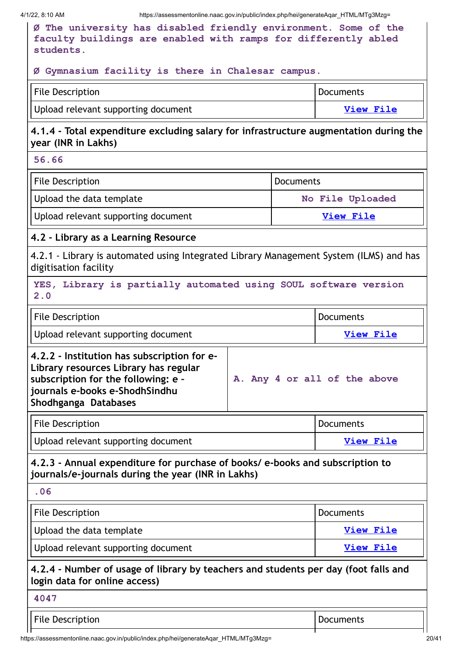| 4/1/22, 8:10 AM<br>https://assessmentonline.naac.gov.in/public/index.php/hei/generateAqar HTML/MTg3Mzg=                                                                                                               |  |                  |                  |
|-----------------------------------------------------------------------------------------------------------------------------------------------------------------------------------------------------------------------|--|------------------|------------------|
| Ø The university has disabled friendly environment. Some of the<br>faculty buildings are enabled with ramps for differently abled<br>students.                                                                        |  |                  |                  |
| Ø Gymnasium facility is there in Chalesar campus.                                                                                                                                                                     |  |                  |                  |
| <b>File Description</b>                                                                                                                                                                                               |  |                  | <b>Documents</b> |
| Upload relevant supporting document                                                                                                                                                                                   |  |                  | <b>View File</b> |
| 4.1.4 - Total expenditure excluding salary for infrastructure augmentation during the<br>year (INR in Lakhs)                                                                                                          |  |                  |                  |
| 56.66                                                                                                                                                                                                                 |  |                  |                  |
| <b>File Description</b>                                                                                                                                                                                               |  | <b>Documents</b> |                  |
| Upload the data template                                                                                                                                                                                              |  |                  | No File Uploaded |
| Upload relevant supporting document                                                                                                                                                                                   |  |                  | <b>View File</b> |
| 4.2 - Library as a Learning Resource                                                                                                                                                                                  |  |                  |                  |
| 4.2.1 - Library is automated using Integrated Library Management System (ILMS) and has<br>digitisation facility                                                                                                       |  |                  |                  |
| YES, Library is partially automated using SOUL software version<br>2.0                                                                                                                                                |  |                  |                  |
| <b>File Description</b>                                                                                                                                                                                               |  |                  | <b>Documents</b> |
| Upload relevant supporting document                                                                                                                                                                                   |  | <b>View File</b> |                  |
| 4.2.2 - Institution has subscription for e-<br>Library resources Library has regular<br>subscription for the following: e -<br>A. Any 4 or all of the above<br>journals e-books e-ShodhSindhu<br>Shodhganga Databases |  |                  |                  |
| <b>File Description</b>                                                                                                                                                                                               |  |                  | <b>Documents</b> |
| Upload relevant supporting document                                                                                                                                                                                   |  |                  | View File        |
| 4.2.3 - Annual expenditure for purchase of books/ e-books and subscription to<br>journals/e-journals during the year (INR in Lakhs)                                                                                   |  |                  |                  |
| .06                                                                                                                                                                                                                   |  |                  |                  |
| <b>File Description</b>                                                                                                                                                                                               |  |                  | <b>Documents</b> |
| Upload the data template                                                                                                                                                                                              |  | <b>View File</b> |                  |
| Upload relevant supporting document                                                                                                                                                                                   |  | <b>View File</b> |                  |
| 4.2.4 - Number of usage of library by teachers and students per day (foot falls and<br>login data for online access)                                                                                                  |  |                  |                  |
| 4047                                                                                                                                                                                                                  |  |                  |                  |
| <b>File Description</b>                                                                                                                                                                                               |  |                  | <b>Documents</b> |
|                                                                                                                                                                                                                       |  |                  |                  |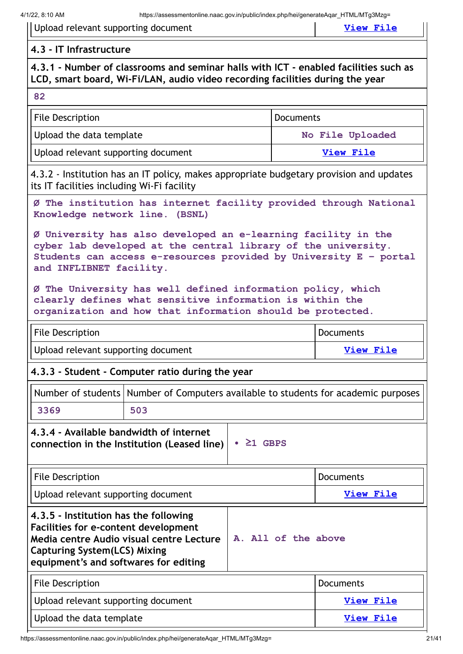| Upload relevant supporting document |  |  |
|-------------------------------------|--|--|
|-------------------------------------|--|--|

 $V$ iew [File](https://assessmentonline.naac.gov.in/storage/app/public/aqar/18738/18738_373_836.pdf?1648780789)

#### **4.3 - IT Infrastructure**

# **4.3.1 - Number of classrooms and seminar halls with ICT - enabled facilities such as LCD, smart board, Wi-Fi/LAN, audio video recording facilities during the year**

#### **82**

| <b>File Description</b>             | Documents        |  |
|-------------------------------------|------------------|--|
| Upload the data template            | No File Uploaded |  |
| Upload relevant supporting document | View File        |  |

4.3.2 - Institution has an IT policy, makes appropriate budgetary provision and updates its IT facilities including Wi-Fi facility

**Ø The institution has internet facility provided through National Knowledge network line. (BSNL)**

**Ø University has also developed an e-learning facility in the cyber lab developed at the central library of the university. Students can access e-resources provided by University E – portal and INFLIBNET facility.**

**Ø The University has well defined information policy, which clearly defines what sensitive information is within the organization and how that information should be protected.**

| <b>File Description</b>             | Documents |
|-------------------------------------|-----------|
| Upload relevant supporting document | View File |

#### **4.3.3 - Student - Computer ratio during the year**

|      | Number of students   Number of Computers available to students for academic purposes |
|------|--------------------------------------------------------------------------------------|
| 3369 | 503                                                                                  |
| .    |                                                                                      |

**4.3.4 - Available bandwidth of internet connection in the Institution (Leased line) • ≥1 GBPS**

| <b>File Description</b>                                                                                                                                                                                          |                     | <b>Documents</b> |
|------------------------------------------------------------------------------------------------------------------------------------------------------------------------------------------------------------------|---------------------|------------------|
| Upload relevant supporting document                                                                                                                                                                              |                     | View File        |
| 4.3.5 - Institution has the following<br><b>Facilities for e-content development</b><br>Media centre Audio visual centre Lecture<br><b>Capturing System(LCS) Mixing</b><br>equipment's and softwares for editing | A. All of the above |                  |
| <b>File Description</b>                                                                                                                                                                                          |                     | <b>Documents</b> |
| Upload relevant supporting document                                                                                                                                                                              |                     | View File        |
| Upload the data template                                                                                                                                                                                         |                     | <b>View File</b> |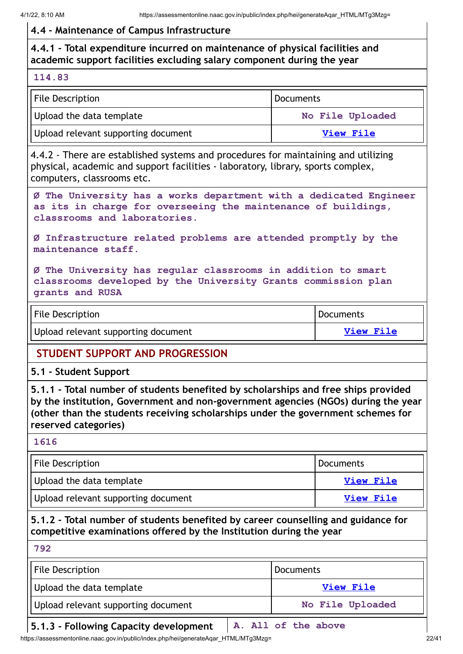#### **4.4 - Maintenance of Campus Infrastructure**

# **4.4.1 - Total expenditure incurred on maintenance of physical facilities and academic support facilities excluding salary component during the year**

#### **114.83**

| File Description                    | Documents        |  |
|-------------------------------------|------------------|--|
| Upload the data template            | No File Uploaded |  |
| Upload relevant supporting document | <b>View File</b> |  |

4.4.2 - There are established systems and procedures for maintaining and utilizing physical, academic and support facilities - laboratory, library, sports complex, computers, classrooms etc.

**Ø The University has a works department with a dedicated Engineer as its in charge for overseeing the maintenance of buildings, classrooms and laboratories.**

**Ø Infrastructure related problems are attended promptly by the maintenance staff.**

**Ø The University has regular classrooms in addition to smart classrooms developed by the University Grants commission plan grants and RUSA**

| <b>File Description</b>             | <b>Documents</b> |
|-------------------------------------|------------------|
| Upload relevant supporting document | View File        |

# **STUDENT SUPPORT AND PROGRESSION**

#### **5.1 - Student Support**

**5.1.1 - Total number of students benefited by scholarships and free ships provided by the institution, Government and non-government agencies (NGOs) during the year (other than the students receiving scholarships under the government schemes for reserved categories)**

#### **1616**

| <b>File Description</b>             | <b>Documents</b> |
|-------------------------------------|------------------|
| Upload the data template            | <b>View File</b> |
| Upload relevant supporting document | View File        |

# **5.1.2 - Total number of students benefited by career counselling and guidance for competitive examinations offered by the Institution during the year**

**792**

| <b>File Description</b>             | Documents        |  |
|-------------------------------------|------------------|--|
| Upload the data template            | View File        |  |
| Upload relevant supporting document | No File Uploaded |  |

#### **5.1.3 - Following Capacity development A. All of the above**

https://assessmentonline.naac.gov.in/public/index.php/hei/generateAqar\_HTML/MTg3Mzg= 22/41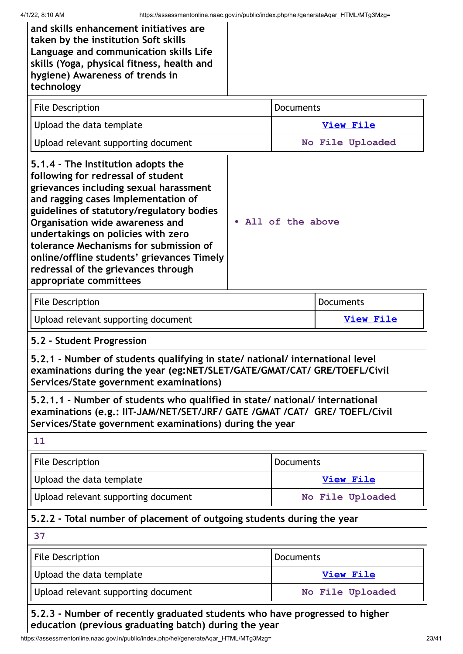| and skills enhancement initiatives are<br>taken by the institution Soft skills<br>Language and communication skills Life<br>skills (Yoga, physical fitness, health and<br>hygiene) Awareness of trends in<br>technology                                                                                                                                                                                                                  |  |                    |                  |  |
|------------------------------------------------------------------------------------------------------------------------------------------------------------------------------------------------------------------------------------------------------------------------------------------------------------------------------------------------------------------------------------------------------------------------------------------|--|--------------------|------------------|--|
| <b>File Description</b>                                                                                                                                                                                                                                                                                                                                                                                                                  |  | <b>Documents</b>   |                  |  |
| Upload the data template                                                                                                                                                                                                                                                                                                                                                                                                                 |  |                    | <b>View File</b> |  |
| Upload relevant supporting document                                                                                                                                                                                                                                                                                                                                                                                                      |  |                    | No File Uploaded |  |
| 5.1.4 - The Institution adopts the<br>following for redressal of student<br>grievances including sexual harassment<br>and ragging cases Implementation of<br>guidelines of statutory/regulatory bodies<br>Organisation wide awareness and<br>undertakings on policies with zero<br>tolerance Mechanisms for submission of<br>online/offline students' grievances Timely<br>redressal of the grievances through<br>appropriate committees |  | . All of the above |                  |  |
| <b>File Description</b>                                                                                                                                                                                                                                                                                                                                                                                                                  |  |                    | <b>Documents</b> |  |
| Upload relevant supporting document                                                                                                                                                                                                                                                                                                                                                                                                      |  |                    | <b>View File</b> |  |
| 5.2 - Student Progression                                                                                                                                                                                                                                                                                                                                                                                                                |  |                    |                  |  |
| 5.2.1 - Number of students qualifying in state/ national/ international level<br>examinations during the year (eg:NET/SLET/GATE/GMAT/CAT/ GRE/TOEFL/Civil<br>Services/State government examinations)                                                                                                                                                                                                                                     |  |                    |                  |  |
| 5.2.1.1 - Number of students who qualified in state/ national/ international<br>examinations (e.g.: IIT-JAM/NET/SET/JRF/ GATE /GMAT /CAT/ GRE/ TOEFL/Civil<br>Services/State government examinations) during the year                                                                                                                                                                                                                    |  |                    |                  |  |
| 11                                                                                                                                                                                                                                                                                                                                                                                                                                       |  |                    |                  |  |
| <b>File Description</b>                                                                                                                                                                                                                                                                                                                                                                                                                  |  | <b>Documents</b>   |                  |  |
| Upload the data template                                                                                                                                                                                                                                                                                                                                                                                                                 |  | <b>View File</b>   |                  |  |
| Upload relevant supporting document                                                                                                                                                                                                                                                                                                                                                                                                      |  | No File Uploaded   |                  |  |
| 5.2.2 - Total number of placement of outgoing students during the year                                                                                                                                                                                                                                                                                                                                                                   |  |                    |                  |  |
| 37                                                                                                                                                                                                                                                                                                                                                                                                                                       |  |                    |                  |  |
| <b>File Description</b>                                                                                                                                                                                                                                                                                                                                                                                                                  |  | <b>Documents</b>   |                  |  |
| Upload the data template                                                                                                                                                                                                                                                                                                                                                                                                                 |  | <b>View File</b>   |                  |  |
| Upload relevant supporting document                                                                                                                                                                                                                                                                                                                                                                                                      |  |                    | No File Uploaded |  |
| 5.2.3 - Number of recently graduated students who have progressed to higher                                                                                                                                                                                                                                                                                                                                                              |  |                    |                  |  |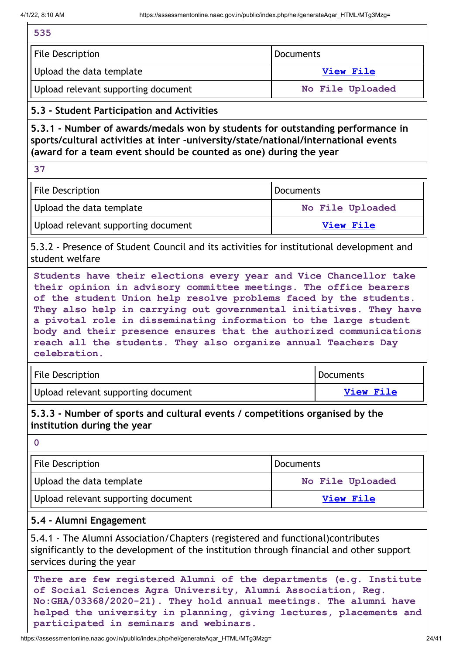ń

| 535                                                                                                                                                                                                                                                                                                                                                                                                                                                                                                          |                  |                  |  |
|--------------------------------------------------------------------------------------------------------------------------------------------------------------------------------------------------------------------------------------------------------------------------------------------------------------------------------------------------------------------------------------------------------------------------------------------------------------------------------------------------------------|------------------|------------------|--|
| <b>File Description</b>                                                                                                                                                                                                                                                                                                                                                                                                                                                                                      | <b>Documents</b> |                  |  |
| Upload the data template                                                                                                                                                                                                                                                                                                                                                                                                                                                                                     | View File        |                  |  |
| Upload relevant supporting document                                                                                                                                                                                                                                                                                                                                                                                                                                                                          | No File Uploaded |                  |  |
| 5.3 - Student Participation and Activities                                                                                                                                                                                                                                                                                                                                                                                                                                                                   |                  |                  |  |
| 5.3.1 - Number of awards/medals won by students for outstanding performance in<br>sports/cultural activities at inter -university/state/national/international events<br>(award for a team event should be counted as one) during the year                                                                                                                                                                                                                                                                   |                  |                  |  |
| 37                                                                                                                                                                                                                                                                                                                                                                                                                                                                                                           |                  |                  |  |
| <b>File Description</b>                                                                                                                                                                                                                                                                                                                                                                                                                                                                                      | <b>Documents</b> |                  |  |
| Upload the data template                                                                                                                                                                                                                                                                                                                                                                                                                                                                                     |                  | No File Uploaded |  |
| Upload relevant supporting document                                                                                                                                                                                                                                                                                                                                                                                                                                                                          |                  | <b>View File</b> |  |
| 5.3.2 - Presence of Student Council and its activities for institutional development and<br>student welfare                                                                                                                                                                                                                                                                                                                                                                                                  |                  |                  |  |
| Students have their elections every year and Vice Chancellor take<br>their opinion in advisory committee meetings. The office bearers<br>of the student Union help resolve problems faced by the students.<br>They also help in carrying out governmental initiatives. They have<br>a pivotal role in disseminating information to the large student<br>body and their presence ensures that the authorized communications<br>reach all the students. They also organize annual Teachers Day<br>celebration. |                  |                  |  |
| File Description<br>Documents                                                                                                                                                                                                                                                                                                                                                                                                                                                                                |                  |                  |  |
| Upload relevant supporting document                                                                                                                                                                                                                                                                                                                                                                                                                                                                          |                  | <b>View File</b> |  |
| 5.3.3 - Number of sports and cultural events / competitions organised by the<br>institution during the year<br>$\mathbf 0$                                                                                                                                                                                                                                                                                                                                                                                   |                  |                  |  |
| <b>File Description</b>                                                                                                                                                                                                                                                                                                                                                                                                                                                                                      | <b>Documents</b> |                  |  |
| Upload the data template                                                                                                                                                                                                                                                                                                                                                                                                                                                                                     | No File Uploaded |                  |  |
| Upload relevant supporting document<br><b>View File</b>                                                                                                                                                                                                                                                                                                                                                                                                                                                      |                  |                  |  |
| 5.4 - Alumni Engagement                                                                                                                                                                                                                                                                                                                                                                                                                                                                                      |                  |                  |  |
| 5.4.1 - The Alumni Association/Chapters (registered and functional)contributes<br>significantly to the development of the institution through financial and other support<br>services during the year                                                                                                                                                                                                                                                                                                        |                  |                  |  |
| There are few registered Alumni of the departments (e.g. Institute<br>of Social Sciences Agra University, Alumni Association, Reg.<br>No: GHA/03368/2020-21). They hold annual meetings. The alumni have<br>helped the university in planning, giving lectures, placements and<br>participated in seminars and webinars.                                                                                                                                                                                     |                  |                  |  |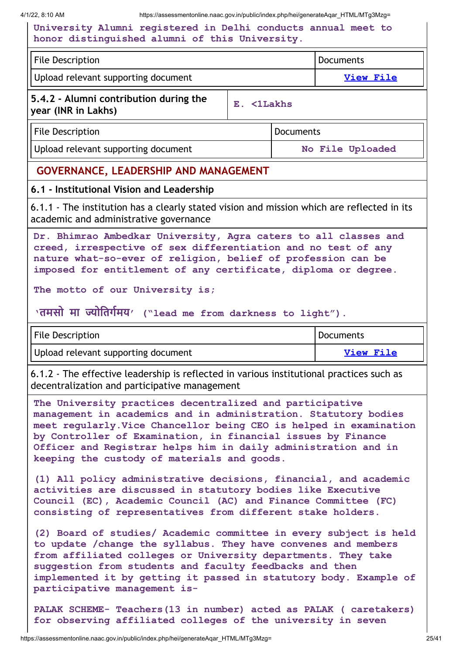4/1/22, 8:10 AM https://assessmentonline.naac.gov.in/public/index.php/hei/generateAqar\_HTML/MTg3Mzg=

| University Alumni registered in Delhi conducts annual meet to<br>honor distinguished alumni of this University.                                                                                                                                                                                                                                                                    |  |  |                  |  |
|------------------------------------------------------------------------------------------------------------------------------------------------------------------------------------------------------------------------------------------------------------------------------------------------------------------------------------------------------------------------------------|--|--|------------------|--|
| <b>File Description</b>                                                                                                                                                                                                                                                                                                                                                            |  |  | <b>Documents</b> |  |
| Upload relevant supporting document                                                                                                                                                                                                                                                                                                                                                |  |  | <b>View File</b> |  |
| 5.4.2 - Alumni contribution during the<br>E. <1Lakhs<br>year (INR in Lakhs)                                                                                                                                                                                                                                                                                                        |  |  |                  |  |
| <b>File Description</b><br><b>Documents</b>                                                                                                                                                                                                                                                                                                                                        |  |  |                  |  |
| Upload relevant supporting document                                                                                                                                                                                                                                                                                                                                                |  |  | No File Uploaded |  |
| <b>GOVERNANCE, LEADERSHIP AND MANAGEMENT</b>                                                                                                                                                                                                                                                                                                                                       |  |  |                  |  |
| 6.1 - Institutional Vision and Leadership                                                                                                                                                                                                                                                                                                                                          |  |  |                  |  |
| 6.1.1 - The institution has a clearly stated vision and mission which are reflected in its<br>academic and administrative governance                                                                                                                                                                                                                                               |  |  |                  |  |
| Dr. Bhimrao Ambedkar University, Agra caters to all classes and<br>creed, irrespective of sex differentiation and no test of any<br>nature what-so-ever of religion, belief of profession can be<br>imposed for entitlement of any certificate, diploma or degree.<br>The motto of our University is;                                                                              |  |  |                  |  |
| 'तमसो मा ज्योतिर्गमय' ("lead me from darkness to light").                                                                                                                                                                                                                                                                                                                          |  |  |                  |  |
| <b>File Description</b><br>Documents                                                                                                                                                                                                                                                                                                                                               |  |  |                  |  |
|                                                                                                                                                                                                                                                                                                                                                                                    |  |  |                  |  |
| Upload relevant supporting document                                                                                                                                                                                                                                                                                                                                                |  |  | <b>View File</b> |  |
| 6.1.2 - The effective leadership is reflected in various institutional practices such as<br>decentralization and participative management                                                                                                                                                                                                                                          |  |  |                  |  |
| The University practices decentralized and participative<br>management in academics and in administration. Statutory bodies<br>meet regularly. Vice Chancellor being CEO is helped in examination<br>by Controller of Examination, in financial issues by Finance<br>Officer and Registrar helps him in daily administration and in<br>keeping the custody of materials and goods. |  |  |                  |  |
| (1) All policy administrative decisions, financial, and academic<br>activities are discussed in statutory bodies like Executive<br>Council (EC), Academic Council (AC) and Finance Committee (FC)<br>consisting of representatives from different stake holders.                                                                                                                   |  |  |                  |  |
| (2) Board of studies/ Academic committee in every subject is held<br>to update / change the syllabus. They have convenes and members<br>from affiliated colleges or University departments. They take<br>suggestion from students and faculty feedbacks and then<br>implemented it by getting it passed in statutory body. Example of<br>participative management is-              |  |  |                  |  |

 $\mathsf{l}$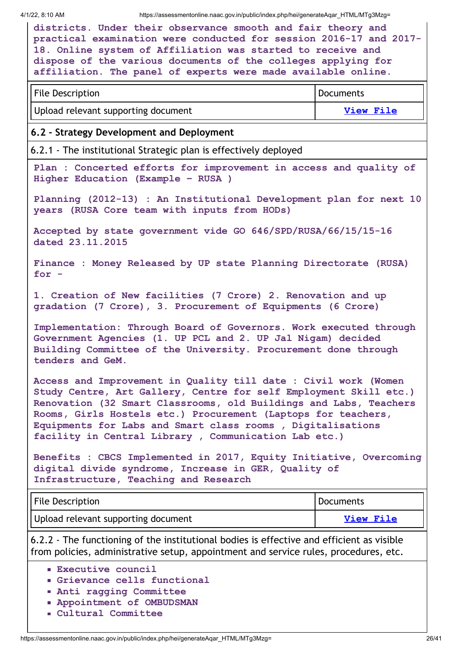4/1/22, 8:10 AM https://assessmentonline.naac.gov.in/public/index.php/hei/generateAqar\_HTML/MTg3Mzg=

| 1/22, 8:10 AM<br>https://assessmentonline.naac.gov.in/public/index.php/hei/generateAqar HTML/MTg3Mzg=                                                                                                                                                                                                                                                                                            |                  |  |  |
|--------------------------------------------------------------------------------------------------------------------------------------------------------------------------------------------------------------------------------------------------------------------------------------------------------------------------------------------------------------------------------------------------|------------------|--|--|
| districts. Under their observance smooth and fair theory and<br>practical examination were conducted for session 2016-17 and 2017-<br>18. Online system of Affiliation was started to receive and<br>dispose of the various documents of the colleges applying for<br>affiliation. The panel of experts were made available online.                                                              |                  |  |  |
| <b>File Description</b>                                                                                                                                                                                                                                                                                                                                                                          | <b>Documents</b> |  |  |
| Upload relevant supporting document                                                                                                                                                                                                                                                                                                                                                              | <b>View File</b> |  |  |
| 6.2 - Strategy Development and Deployment                                                                                                                                                                                                                                                                                                                                                        |                  |  |  |
| 6.2.1 - The institutional Strategic plan is effectively deployed                                                                                                                                                                                                                                                                                                                                 |                  |  |  |
| Plan : Concerted efforts for improvement in access and quality of<br>Higher Education (Example - RUSA )                                                                                                                                                                                                                                                                                          |                  |  |  |
| Planning (2012-13) : An Institutional Development plan for next 10<br>years (RUSA Core team with inputs from HODs)                                                                                                                                                                                                                                                                               |                  |  |  |
| Accepted by state government vide GO 646/SPD/RUSA/66/15/15-16<br>dated 23.11.2015                                                                                                                                                                                                                                                                                                                |                  |  |  |
| Finance : Money Released by UP state Planning Directorate (RUSA)<br>for $-$                                                                                                                                                                                                                                                                                                                      |                  |  |  |
| 1. Creation of New facilities (7 Crore) 2. Renovation and up<br>gradation (7 Crore), 3. Procurement of Equipments (6 Crore)                                                                                                                                                                                                                                                                      |                  |  |  |
| Implementation: Through Board of Governors. Work executed through<br>Government Agencies (1. UP PCL and 2. UP Jal Nigam) decided<br>Building Committee of the University. Procurement done through<br>tenders and GeM.                                                                                                                                                                           |                  |  |  |
| Access and Improvement in Quality till date : Civil work (Women<br>Study Centre, Art Gallery, Centre for self Employment Skill etc.)<br>Renovation (32 Smart Classrooms, old Buildings and Labs, Teachers<br>Rooms, Girls Hostels etc.) Procurement (Laptops for teachers,<br>Equipments for Labs and Smart class rooms, Digitalisations<br>facility in Central Library, Communication Lab etc.) |                  |  |  |
| Benefits : CBCS Implemented in 2017, Equity Initiative, Overcoming<br>digital divide syndrome, Increase in GER, Quality of<br>Infrastructure, Teaching and Research                                                                                                                                                                                                                              |                  |  |  |
| <b>File Description</b>                                                                                                                                                                                                                                                                                                                                                                          | <b>Documents</b> |  |  |
| Upload relevant supporting document                                                                                                                                                                                                                                                                                                                                                              | <b>View File</b> |  |  |
| 6.2.2 - The functioning of the institutional bodies is effective and efficient as visible<br>from policies, administrative setup, appointment and service rules, procedures, etc.                                                                                                                                                                                                                |                  |  |  |
| <b>Executive council</b><br>Grievance cells functional<br><b>Anti ragging Committee</b>                                                                                                                                                                                                                                                                                                          |                  |  |  |

- **Appointment of OMBUDSMAN**
- **Cultural Committee**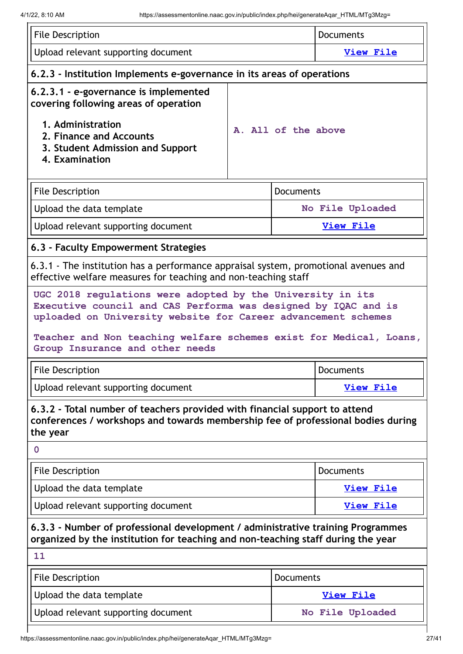| <b>File Description</b>                                                                                                                                                                       |                  | <b>Documents</b>    |                  |  |
|-----------------------------------------------------------------------------------------------------------------------------------------------------------------------------------------------|------------------|---------------------|------------------|--|
| Upload relevant supporting document                                                                                                                                                           |                  | <b>View File</b>    |                  |  |
| 6.2.3 - Institution Implements e-governance in its areas of operations                                                                                                                        |                  |                     |                  |  |
| 6.2.3.1 - e-governance is implemented<br>covering following areas of operation                                                                                                                |                  |                     |                  |  |
| 1. Administration<br>2. Finance and Accounts<br>3. Student Admission and Support<br>4. Examination                                                                                            |                  | A. All of the above |                  |  |
| <b>File Description</b>                                                                                                                                                                       |                  | <b>Documents</b>    |                  |  |
| Upload the data template                                                                                                                                                                      |                  |                     | No File Uploaded |  |
| Upload relevant supporting document                                                                                                                                                           |                  |                     | <b>View File</b> |  |
| 6.3 - Faculty Empowerment Strategies                                                                                                                                                          |                  |                     |                  |  |
| 6.3.1 - The institution has a performance appraisal system, promotional avenues and<br>effective welfare measures for teaching and non-teaching staff                                         |                  |                     |                  |  |
| UGC 2018 regulations were adopted by the University in its<br>Executive council and CAS Performa was designed by IQAC and is<br>uploaded on University website for Career advancement schemes |                  |                     |                  |  |
| Teacher and Non teaching welfare schemes exist for Medical, Loans,<br>Group Insurance and other needs                                                                                         |                  |                     |                  |  |
| <b>File Description</b>                                                                                                                                                                       | <b>Documents</b> |                     |                  |  |
| Upload relevant supporting document                                                                                                                                                           |                  | <b>View File</b>    |                  |  |
| 6.3.2 - Total number of teachers provided with financial support to attend<br>conferences / workshops and towards membership fee of professional bodies during<br>the year                    |                  |                     |                  |  |
| 0                                                                                                                                                                                             |                  |                     |                  |  |
| <b>File Description</b>                                                                                                                                                                       |                  | Documents           |                  |  |
| Upload the data template                                                                                                                                                                      |                  | <b>View File</b>    |                  |  |
| Upload relevant supporting document                                                                                                                                                           |                  |                     | <b>View File</b> |  |
| 6.3.3 - Number of professional development / administrative training Programmes                                                                                                               |                  |                     |                  |  |
| organized by the institution for teaching and non-teaching staff during the year                                                                                                              |                  |                     |                  |  |
| 11                                                                                                                                                                                            |                  |                     |                  |  |
| <b>File Description</b>                                                                                                                                                                       |                  | <b>Documents</b>    |                  |  |
| Upload the data template                                                                                                                                                                      |                  |                     | <b>View File</b> |  |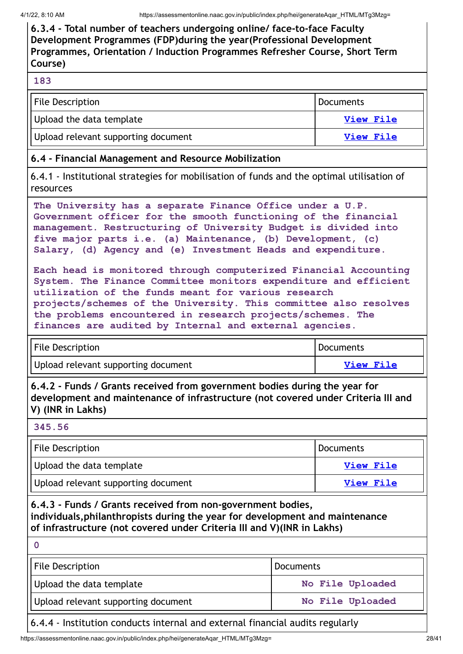**6.3.4 - Total number of teachers undergoing online/ face-to-face Faculty Development Programmes (FDP)during the year(Professional Development Programmes, Orientation / Induction Programmes Refresher Course, Short Term Course)**

#### **183**

| <b>File Description</b>             | <b>Documents</b> |
|-------------------------------------|------------------|
| Upload the data template            | View File        |
| Upload relevant supporting document | View File        |

#### **6.4 - Financial Management and Resource Mobilization**

6.4.1 - Institutional strategies for mobilisation of funds and the optimal utilisation of resources

**The University has a separate Finance Office under a U.P. Government officer for the smooth functioning of the financial management. Restructuring of University Budget is divided into five major parts i.e. (a) Maintenance, (b) Development, (c) Salary, (d) Agency and (e) Investment Heads and expenditure.**

**Each head is monitored through computerized Financial Accounting System. The Finance Committee monitors expenditure and efficient utilization of the funds meant for various research projects/schemes of the University. This committee also resolves the problems encountered in research projects/schemes. The finances are audited by Internal and external agencies.**

| File Description                    | Documents |
|-------------------------------------|-----------|
| Upload relevant supporting document | View File |

**6.4.2 - Funds / Grants received from government bodies during the year for development and maintenance of infrastructure (not covered under Criteria III and V) (INR in Lakhs)**

#### **345.56**

| <b>File Description</b>             | l Documents      |
|-------------------------------------|------------------|
| Upload the data template            | <b>View File</b> |
| Upload relevant supporting document | <b>View File</b> |

**6.4.3 - Funds / Grants received from non-government bodies, individuals,philanthropists during the year for development and maintenance of infrastructure (not covered under Criteria III and V)(INR in Lakhs)**

| File Description                    | <b>Documents</b> |
|-------------------------------------|------------------|
| Upload the data template            | No File Uploaded |
| Upload relevant supporting document | No File Uploaded |
|                                     |                  |

#### 6.4.4 - Institution conducts internal and external financial audits regularly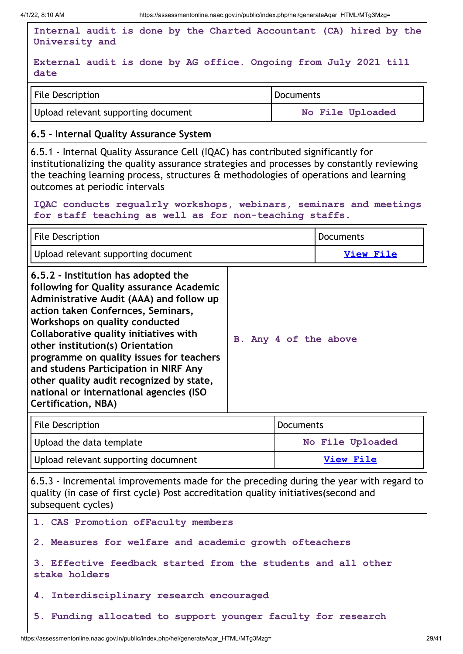$\overline{1}$ 

| Internal audit is done by the Charted Accountant (CA) hired by the<br>University and                                                                                                                                                                                                                                                                                                                                              |                  |                  |                  |  |
|-----------------------------------------------------------------------------------------------------------------------------------------------------------------------------------------------------------------------------------------------------------------------------------------------------------------------------------------------------------------------------------------------------------------------------------|------------------|------------------|------------------|--|
| External audit is done by AG office. Ongoing from July 2021 till<br>date                                                                                                                                                                                                                                                                                                                                                          |                  |                  |                  |  |
| <b>File Description</b><br><b>Documents</b>                                                                                                                                                                                                                                                                                                                                                                                       |                  |                  |                  |  |
| Upload relevant supporting document<br>No File Uploaded                                                                                                                                                                                                                                                                                                                                                                           |                  |                  |                  |  |
| 6.5 - Internal Quality Assurance System                                                                                                                                                                                                                                                                                                                                                                                           |                  |                  |                  |  |
| 6.5.1 - Internal Quality Assurance Cell (IQAC) has contributed significantly for<br>institutionalizing the quality assurance strategies and processes by constantly reviewing<br>the teaching learning process, structures & methodologies of operations and learning<br>outcomes at periodic intervals                                                                                                                           |                  |                  |                  |  |
| IQAC conducts regualrly workshops, webinars, seminars and meetings<br>for staff teaching as well as for non-teaching staffs.                                                                                                                                                                                                                                                                                                      |                  |                  |                  |  |
| <b>File Description</b>                                                                                                                                                                                                                                                                                                                                                                                                           |                  |                  | <b>Documents</b> |  |
| Upload relevant supporting document                                                                                                                                                                                                                                                                                                                                                                                               |                  |                  | <b>View File</b> |  |
| Administrative Audit (AAA) and follow up<br>action taken Confernces, Seminars,<br>Workshops on quality conducted<br>Collaborative quality initiatives with<br>B. Any 4 of the above<br>other institution(s) Orientation<br>programme on quality issues for teachers<br>and studens Participation in NIRF Any<br>other quality audit recognized by state,<br>national or international agencies (ISO<br><b>Certification, NBA)</b> |                  |                  |                  |  |
| <b>File Description</b>                                                                                                                                                                                                                                                                                                                                                                                                           |                  | <b>Documents</b> |                  |  |
| Upload the data template                                                                                                                                                                                                                                                                                                                                                                                                          | No File Uploaded |                  |                  |  |
| Upload relevant supporting documnent                                                                                                                                                                                                                                                                                                                                                                                              | <b>View File</b> |                  |                  |  |
| 6.5.3 - Incremental improvements made for the preceding during the year with regard to<br>quality (in case of first cycle) Post accreditation quality initiatives (second and<br>subsequent cycles)                                                                                                                                                                                                                               |                  |                  |                  |  |
| 1. CAS Promotion ofFaculty members                                                                                                                                                                                                                                                                                                                                                                                                |                  |                  |                  |  |
| 2. Measures for welfare and academic growth ofteachers                                                                                                                                                                                                                                                                                                                                                                            |                  |                  |                  |  |
| 3. Effective feedback started from the students and all other<br>stake holders                                                                                                                                                                                                                                                                                                                                                    |                  |                  |                  |  |
| Interdisciplinary research encouraged<br>4.                                                                                                                                                                                                                                                                                                                                                                                       |                  |                  |                  |  |
| 5. Funding allocated to support younger faculty for research                                                                                                                                                                                                                                                                                                                                                                      |                  |                  |                  |  |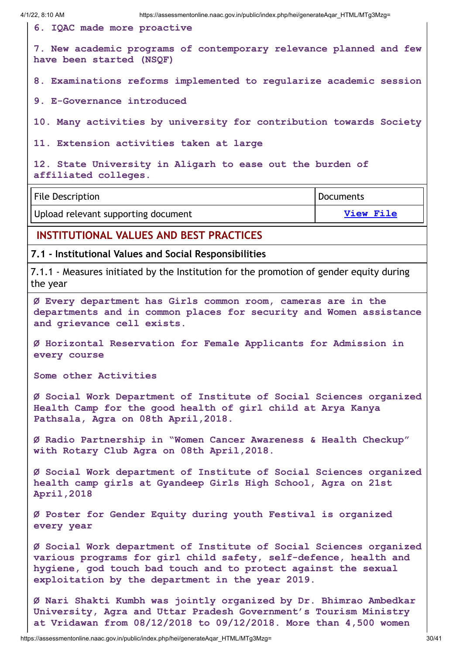**6. IQAC made more proactive**

**7. New academic programs of contemporary relevance planned and few have been started (NSQF)**

**8. Examinations reforms implemented to regularize academic session**

**9. E-Governance introduced**

**10. Many activities by university for contribution towards Society**

**11. Extension activities taken at large**

**12. State University in Aligarh to ease out the burden of affiliated colleges.**

File Description **Documents Documents** Upload relevant supporting document **View [File](https://assessmentonline.naac.gov.in/storage/app/public/aqar/18738/18738_408_890.docx?1648780790)** 

#### **INSTITUTIONAL VALUES AND BEST PRACTICES**

**7.1 - Institutional Values and Social Responsibilities**

7.1.1 - Measures initiated by the Institution for the promotion of gender equity during the year

**Ø Every department has Girls common room, cameras are in the departments and in common places for security and Women assistance and grievance cell exists.**

**Ø Horizontal Reservation for Female Applicants for Admission in every course**

**Some other Activities**

**Ø Social Work Department of Institute of Social Sciences organized Health Camp for the good health of girl child at Arya Kanya Pathsala, Agra on 08th April,2018.**

**Ø Radio Partnership in "Women Cancer Awareness & Health Checkup" with Rotary Club Agra on 08th April,2018.**

**Ø Social Work department of Institute of Social Sciences organized health camp girls at Gyandeep Girls High School, Agra on 21st April,2018**

**Ø Poster for Gender Equity during youth Festival is organized every year**

**Ø Social Work department of Institute of Social Sciences organized various programs for girl child safety, self-defence, health and hygiene, god touch bad touch and to protect against the sexual exploitation by the department in the year 2019.**

**Ø Nari Shakti Kumbh was jointly organized by Dr. Bhimrao Ambedkar University, Agra and Uttar Pradesh Government's Tourism Ministry at Vridawan from 08/12/2018 to 09/12/2018. More than 4,500 women**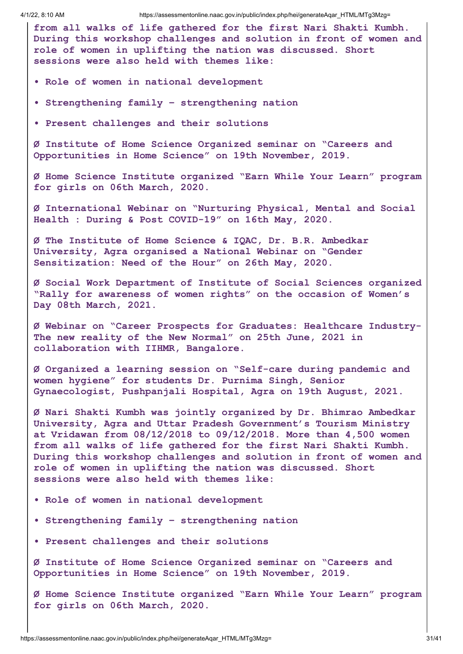4/1/22, 8:10 AM https://assessmentonline.naac.gov.in/public/index.php/hei/generateAqar\_HTML/MTg3Mzg= **from all walks of life gathered for the first Nari Shakti Kumbh. During this workshop challenges and solution in front of women and role of women in uplifting the nation was discussed. Short sessions were also held with themes like: • Role of women in national development • Strengthening family – strengthening nation • Present challenges and their solutions Ø Institute of Home Science Organized seminar on "Careers and Opportunities in Home Science" on 19th November, 2019. Ø Home Science Institute organized "Earn While Your Learn" program for girls on 06th March, 2020. Ø International Webinar on "Nurturing Physical, Mental and Social Health : During & Post COVID-19" on 16th May, 2020. Ø The Institute of Home Science & IQAC, Dr. B.R. Ambedkar University, Agra organised a National Webinar on "Gender Sensitization: Need of the Hour" on 26th May, 2020. Ø Social Work Department of Institute of Social Sciences organized "Rally for awareness of women rights" on the occasion of Women's Day 08th March, 2021. Ø Webinar on "Career Prospects for Graduates: Healthcare Industry-The new reality of the New Normal" on 25th June, 2021 in collaboration with IIHMR, Bangalore. Ø Organized a learning session on "Self-care during pandemic and women hygiene" for students Dr. Purnima Singh, Senior Gynaecologist, Pushpanjali Hospital, Agra on 19th August, 2021. Ø Nari Shakti Kumbh was jointly organized by Dr. Bhimrao Ambedkar University, Agra and Uttar Pradesh Government's Tourism Ministry at Vridawan from 08/12/2018 to 09/12/2018. More than 4,500 women from all walks of life gathered for the first Nari Shakti Kumbh. During this workshop challenges and solution in front of women and role of women in uplifting the nation was discussed. Short sessions were also held with themes like: • Role of women in national development • Strengthening family – strengthening nation • Present challenges and their solutions Ø Institute of Home Science Organized seminar on "Careers and Opportunities in Home Science" on 19th November, 2019. Ø Home Science Institute organized "Earn While Your Learn" program for girls on 06th March, 2020.**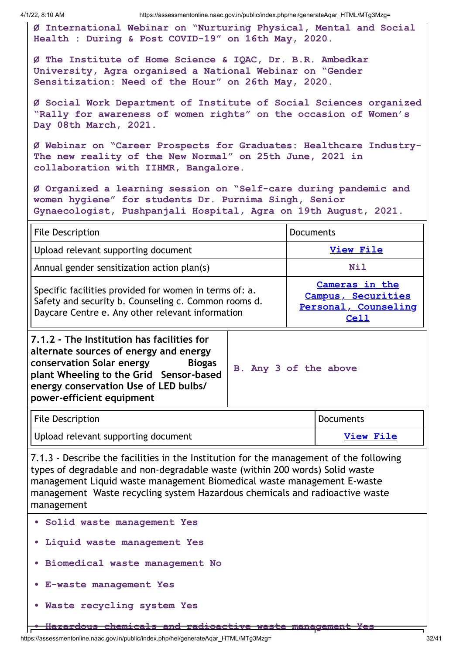4/1/22, 8:10 AM https://assessmentonline.naac.gov.in/public/index.php/hei/generateAqar\_HTML/MTg3Mzg=

**Ø International Webinar on "Nurturing Physical, Mental and Social Health : During & Post COVID-19" on 16th May, 2020.**

**Ø The Institute of Home Science & IQAC, Dr. B.R. Ambedkar University, Agra organised a National Webinar on "Gender Sensitization: Need of the Hour" on 26th May, 2020.**

**Ø Social Work Department of Institute of Social Sciences organized "Rally for awareness of women rights" on the occasion of Women's Day 08th March, 2021.**

**Ø Webinar on "Career Prospects for Graduates: Healthcare Industry-The new reality of the New Normal" on 25th June, 2021 in collaboration with IIHMR, Bangalore.**

**Ø Organized a learning session on "Self-care during pandemic and women hygiene" for students Dr. Purnima Singh, Senior Gynaecologist, Pushpanjali Hospital, Agra on 19th August, 2021.**

| <b>File Description</b>                                                                                                                                                                                                                             |                       | <b>Documents</b> |                                                                             |
|-----------------------------------------------------------------------------------------------------------------------------------------------------------------------------------------------------------------------------------------------------|-----------------------|------------------|-----------------------------------------------------------------------------|
| Upload relevant supporting document                                                                                                                                                                                                                 |                       | View File        |                                                                             |
| Annual gender sensitization action plan(s)                                                                                                                                                                                                          |                       |                  | <b>Nil</b>                                                                  |
| Specific facilities provided for women in terms of: a.<br>Safety and security b. Counseling c. Common rooms d.<br>Daycare Centre e. Any other relevant information                                                                                  |                       |                  | Cameras in the<br>Campus, Securities<br>Personal, Counseling<br><b>Cell</b> |
| 7.1.2 - The Institution has facilities for<br>alternate sources of energy and energy<br>conservation Solar energy<br><b>Biogas</b><br>plant Wheeling to the Grid Sensor-based<br>energy conservation Use of LED bulbs/<br>power-efficient equipment | B. Any 3 of the above |                  |                                                                             |
| <b>File Description</b>                                                                                                                                                                                                                             |                       |                  | <b>Documents</b>                                                            |

Upload relevant supporting document **View [File](https://assessmentonline.naac.gov.in/storage/?1648780790)** 

7.1.3 - Describe the facilities in the Institution for the management of the following types of degradable and non-degradable waste (within 200 words) Solid waste management Liquid waste management Biomedical waste management E-waste management Waste recycling system Hazardous chemicals and radioactive waste management

- **• Solid waste management Yes**
- **• Liquid waste management Yes**
- **• Biomedical waste management No**
- **• E-waste management Yes**
- **• Waste recycling system Yes**

**• Hazardous chemicals and radioactive waste management Yes**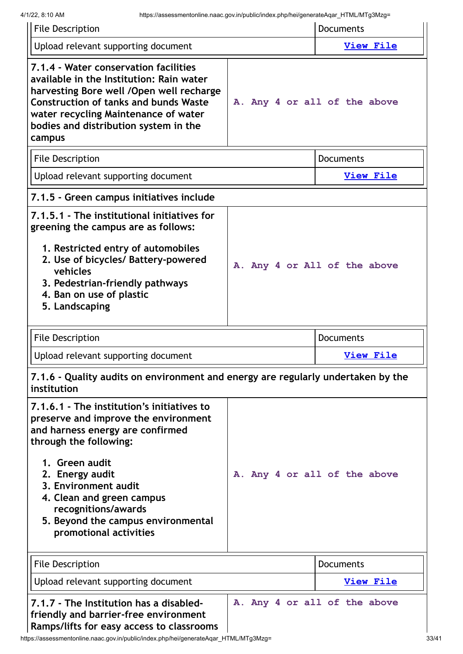| <b>File Description</b>                                                                                                                                                                                                                                                                                                           | <b>Documents</b>             |
|-----------------------------------------------------------------------------------------------------------------------------------------------------------------------------------------------------------------------------------------------------------------------------------------------------------------------------------|------------------------------|
| Upload relevant supporting document                                                                                                                                                                                                                                                                                               | <b>View File</b>             |
| 7.1.4 - Water conservation facilities<br>available in the Institution: Rain water<br>harvesting Bore well / Open well recharge<br><b>Construction of tanks and bunds Waste</b><br>water recycling Maintenance of water<br>bodies and distribution system in the<br>campus                                                         | A. Any 4 or all of the above |
| <b>File Description</b>                                                                                                                                                                                                                                                                                                           | <b>Documents</b>             |
| Upload relevant supporting document                                                                                                                                                                                                                                                                                               | <b>View File</b>             |
| 7.1.5 - Green campus initiatives include                                                                                                                                                                                                                                                                                          |                              |
| 7.1.5.1 - The institutional initiatives for<br>greening the campus are as follows:<br>1. Restricted entry of automobiles<br>2. Use of bicycles/ Battery-powered<br>vehicles<br>3. Pedestrian-friendly pathways<br>4. Ban on use of plastic<br>5. Landscaping                                                                      | A. Any 4 or All of the above |
|                                                                                                                                                                                                                                                                                                                                   |                              |
| <b>File Description</b>                                                                                                                                                                                                                                                                                                           | <b>Documents</b>             |
| Upload relevant supporting document                                                                                                                                                                                                                                                                                               | <b>View File</b>             |
| 7.1.6 - Quality audits on environment and energy are regularly undertaken by the<br>institution                                                                                                                                                                                                                                   |                              |
| 7.1.6.1 - The institution's initiatives to<br>preserve and improve the environment<br>and harness energy are confirmed<br>through the following:<br>1. Green audit<br>2. Energy audit<br>3. Environment audit<br>4. Clean and green campus<br>recognitions/awards<br>5. Beyond the campus environmental<br>promotional activities | A. Any 4 or all of the above |
| <b>File Description</b>                                                                                                                                                                                                                                                                                                           | Documents                    |
| Upload relevant supporting document                                                                                                                                                                                                                                                                                               | <b>View File</b>             |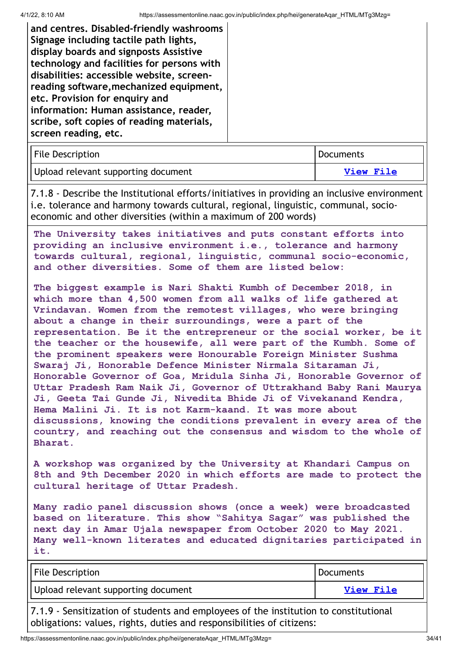| <b>File Description</b>             | Documents |
|-------------------------------------|-----------|
| Upload relevant supporting document | View File |

7.1.8 - Describe the Institutional efforts/initiatives in providing an inclusive environment i.e. tolerance and harmony towards cultural, regional, linguistic, communal, socioeconomic and other diversities (within a maximum of 200 words)

**The University takes initiatives and puts constant efforts into providing an inclusive environment i.e., tolerance and harmony towards cultural, regional, linguistic, communal socio-economic, and other diversities. Some of them are listed below:**

**The biggest example is Nari Shakti Kumbh of December 2018, in which more than 4,500 women from all walks of life gathered at Vrindavan. Women from the remotest villages, who were bringing about a change in their surroundings, were a part of the representation. Be it the entrepreneur or the social worker, be it the teacher or the housewife, all were part of the Kumbh. Some of the prominent speakers were Honourable Foreign Minister Sushma Swaraj Ji, Honorable Defence Minister Nirmala Sitaraman Ji, Honorable Governor of Goa, Mridula Sinha Ji, Honorable Governor of Uttar Pradesh Ram Naik Ji, Governor of Uttrakhand Baby Rani Maurya Ji, Geeta Tai Gunde Ji, Nivedita Bhide Ji of Vivekanand Kendra, Hema Malini Ji. It is not Karm-kaand. It was more about discussions, knowing the conditions prevalent in every area of the country, and reaching out the consensus and wisdom to the whole of Bharat.**

**A workshop was organized by the University at Khandari Campus on 8th and 9th December 2020 in which efforts are made to protect the cultural heritage of Uttar Pradesh.**

**Many radio panel discussion shows (once a week) were broadcasted based on literature. This show "Sahitya Sagar" was published the next day in Amar Ujala newspaper from October 2020 to May 2021. Many well-known literates and educated dignitaries participated in it.**

| <b>File Description</b>             | Documents |
|-------------------------------------|-----------|
| Upload relevant supporting document | View File |
|                                     |           |

7.1.9 - Sensitization of students and employees of the institution to constitutional obligations: values, rights, duties and responsibilities of citizens: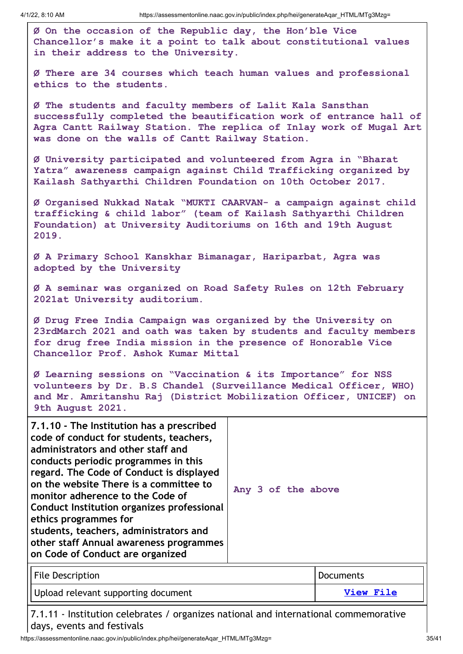**Ø On the occasion of the Republic day, the Hon'ble Vice Chancellor's make it a point to talk about constitutional values in their address to the University.**

**Ø There are 34 courses which teach human values and professional ethics to the students.**

**Ø The students and faculty members of Lalit Kala Sansthan successfully completed the beautification work of entrance hall of Agra Cantt Railway Station. The replica of Inlay work of Mugal Art was done on the walls of Cantt Railway Station.**

**Ø University participated and volunteered from Agra in "Bharat Yatra" awareness campaign against Child Trafficking organized by Kailash Sathyarthi Children Foundation on 10th October 2017.**

**Ø Organised Nukkad Natak "MUKTI CAARVAN- a campaign against child trafficking & child labor" (team of Kailash Sathyarthi Children Foundation) at University Auditoriums on 16th and 19th August 2019.**

**Ø A Primary School Kanskhar Bimanagar, Hariparbat, Agra was adopted by the University**

**Ø A seminar was organized on Road Safety Rules on 12th February 2021at University auditorium.**

**Ø Drug Free India Campaign was organized by the University on 23rdMarch 2021 and oath was taken by students and faculty members for drug free India mission in the presence of Honorable Vice Chancellor Prof. Ashok Kumar Mittal**

**Ø Learning sessions on "Vaccination & its Importance" for NSS volunteers by Dr. B.S Chandel (Surveillance Medical Officer, WHO) and Mr. Amritanshu Raj (District Mobilization Officer, UNICEF) on 9th August 2021.**

| 7.1.10 - The Institution has a prescribed<br>code of conduct for students, teachers,<br>administrators and other staff and<br>conducts periodic programmes in this<br>regard. The Code of Conduct is displayed<br>on the website There is a committee to<br>monitor adherence to the Code of<br>Conduct Institution organizes professional<br>ethics programmes for<br>students, teachers, administrators and<br>other staff Annual awareness programmes<br>on Code of Conduct are organized | Any 3 of the above |
|----------------------------------------------------------------------------------------------------------------------------------------------------------------------------------------------------------------------------------------------------------------------------------------------------------------------------------------------------------------------------------------------------------------------------------------------------------------------------------------------|--------------------|
|----------------------------------------------------------------------------------------------------------------------------------------------------------------------------------------------------------------------------------------------------------------------------------------------------------------------------------------------------------------------------------------------------------------------------------------------------------------------------------------------|--------------------|

| <b>File Description</b>             | Documents |
|-------------------------------------|-----------|
| Upload relevant supporting document | View File |

7.1.11 - Institution celebrates / organizes national and international commemorative days, events and festivals

https://assessmentonline.naac.gov.in/public/index.php/hei/generateAqar\_HTML/MTg3Mzg= 35/41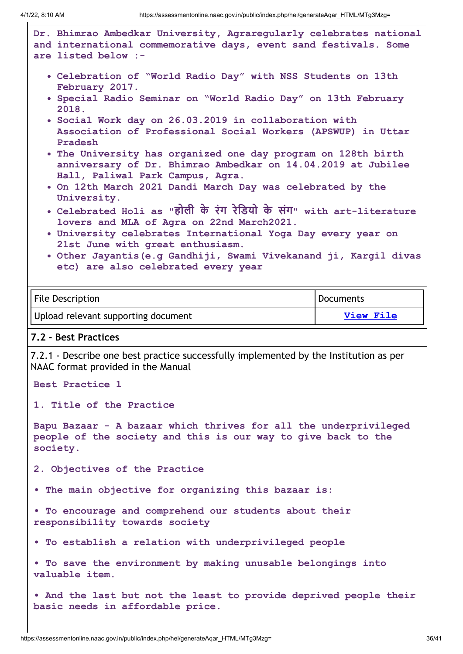**Dr. Bhimrao Ambedkar University, Agraregularly celebrates national and international commemorative days, event sand festivals. Some are listed below :- Celebration of "World Radio Day" with NSS Students on 13th February 2017. Special Radio Seminar on "World Radio Day" on 13th February 2018. Social Work day on 26.03.2019 in collaboration with Association of Professional Social Workers (APSWUP) in Uttar Pradesh The University has organized one day program on 128th birth anniversary of Dr. Bhimrao Ambedkar on 14.04.2019 at Jubilee Hall, Paliwal Park Campus, Agra. On 12th March 2021 Dandi March Day was celebrated by the University. Celebrated Holi as "हो ली के रंग रेडि यो के संग" with art-literature lovers and MLA of Agra on 22nd March2021. University celebrates International Yoga Day every year on 21st June with great enthusiasm. Other Jayantis(e.g Gandhiji, Swami Vivekanand ji, Kargil divas etc) are also celebrated every year** File Description **Documents** Upload relevant supporting document **View [File](https://assessmentonline.naac.gov.in/storage/app/public/aqar/18738/18738_418_1750.docx?1648780790) 7.2 - Best Practices** 7.2.1 - Describe one best practice successfully implemented by the Institution as per NAAC format provided in the Manual **Best Practice 1 1. Title of the Practice Bapu Bazaar - A bazaar which thrives for all the underprivileged people of the society and this is our way to give back to the society. 2. Objectives of the Practice • The main objective for organizing this bazaar is: • To encourage and comprehend our students about their responsibility towards society • To establish a relation with underprivileged people • To save the environment by making unusable belongings into valuable item. • And the last but not the least to provide deprived people their basic needs in affordable price.**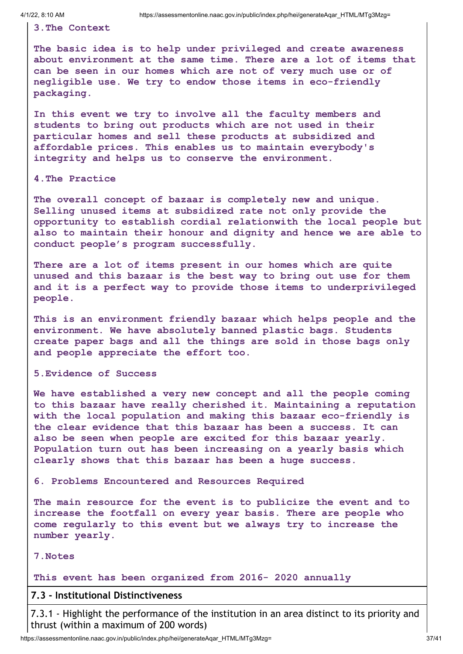**3.The Context**

**The basic idea is to help under privileged and create awareness about environment at the same time. There are a lot of items that can be seen in our homes which are not of very much use or of negligible use. We try to endow those items in eco-friendly packaging.**

**In this event we try to involve all the faculty members and students to bring out products which are not used in their particular homes and sell these products at subsidized and affordable prices. This enables us to maintain everybody's integrity and helps us to conserve the environment.**

**4.The Practice**

**The overall concept of bazaar is completely new and unique. Selling unused items at subsidized rate not only provide the opportunity to establish cordial relationwith the local people but also to maintain their honour and dignity and hence we are able to conduct people's program successfully.**

**There are a lot of items present in our homes which are quite unused and this bazaar is the best way to bring out use for them and it is a perfect way to provide those items to underprivileged people.**

**This is an environment friendly bazaar which helps people and the environment. We have absolutely banned plastic bags. Students create paper bags and all the things are sold in those bags only and people appreciate the effort too.**

#### **5.Evidence of Success**

**We have established a very new concept and all the people coming to this bazaar have really cherished it. Maintaining a reputation with the local population and making this bazaar eco-friendly is the clear evidence that this bazaar has been a success. It can also be seen when people are excited for this bazaar yearly. Population turn out has been increasing on a yearly basis which clearly shows that this bazaar has been a huge success.**

**6. Problems Encountered and Resources Required**

**The main resource for the event is to publicize the event and to increase the footfall on every year basis. There are people who come regularly to this event but we always try to increase the number yearly.**

#### **7.Notes**

#### **This event has been organized from 2016- 2020 annually**

#### **7.3 - Institutional Distinctiveness**

7.3.1 - Highlight the performance of the institution in an area distinct to its priority and thrust (within a maximum of 200 words)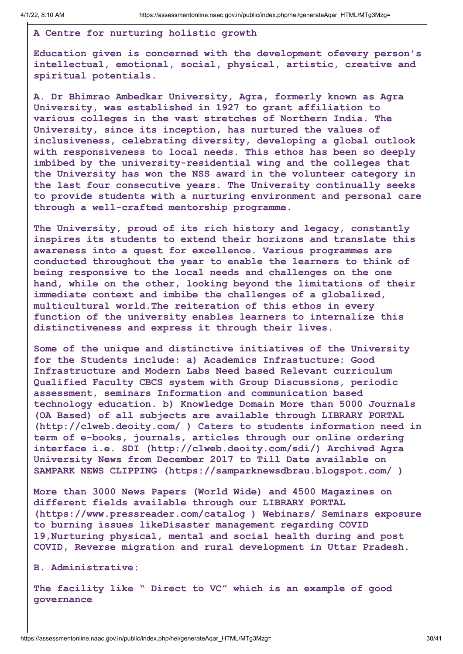#### **A Centre for nurturing holistic growth**

**Education given is concerned with the development ofevery person's intellectual, emotional, social, physical, artistic, creative and spiritual potentials.**

**A. Dr Bhimrao Ambedkar University, Agra, formerly known as Agra University, was established in 1927 to grant affiliation to various colleges in the vast stretches of Northern India. The University, since its inception, has nurtured the values of inclusiveness, celebrating diversity, developing a global outlook with responsiveness to local needs. This ethos has been so deeply imbibed by the university-residential wing and the colleges that the University has won the NSS award in the volunteer category in the last four consecutive years. The University continually seeks to provide students with a nurturing environment and personal care through a well-crafted mentorship programme.**

**The University, proud of its rich history and legacy, constantly inspires its students to extend their horizons and translate this awareness into a quest for excellence. Various programmes are conducted throughout the year to enable the learners to think of being responsive to the local needs and challenges on the one hand, while on the other, looking beyond the limitations of their immediate context and imbibe the challenges of a globalized, multicultural world.The reiteration of this ethos in every function of the university enables learners to internalize this distinctiveness and express it through their lives.**

**Some of the unique and distinctive initiatives of the University for the Students include: a) Academics Infrastucture: Good Infrastructure and Modern Labs Need based Relevant curriculum Qualified Faculty CBCS system with Group Discussions, periodic assessment, seminars Information and communication based technology education. b) Knowledge Domain More than 5000 Journals (OA Based) of all subjects are available through LIBRARY PORTAL (http://clweb.deoity.com/ ) Caters to students information need in term of e-books, journals, articles through our online ordering interface i.e. SDI (http://clweb.deoity.com/sdi/) Archived Agra University News from December 2017 to Till Date available on SAMPARK NEWS CLIPPING (https://samparknewsdbrau.blogspot.com/ )**

**More than 3000 News Papers (World Wide) and 4500 Magazines on different fields available through our LIBRARY PORTAL (https://www.pressreader.com/catalog ) Webinars/ Seminars exposure to burning issues likeDisaster management regarding COVID 19,Nurturing physical, mental and social health during and post COVID, Reverse migration and rural development in Uttar Pradesh.**

**B. Administrative:**

**The facility like " Direct to VC" which is an example of good governance**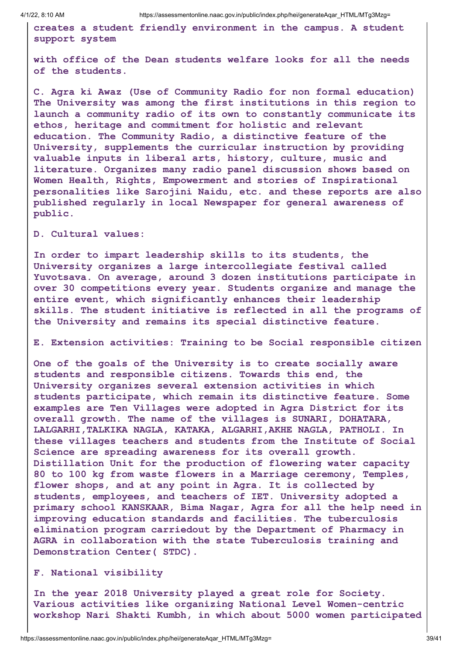**creates a student friendly environment in the campus. A student support system**

**with office of the Dean students welfare looks for all the needs of the students.**

**C. Agra ki Awaz (Use of Community Radio for non formal education) The University was among the first institutions in this region to launch a community radio of its own to constantly communicate its ethos, heritage and commitment for holistic and relevant education. The Community Radio, a distinctive feature of the University, supplements the curricular instruction by providing valuable inputs in liberal arts, history, culture, music and literature. Organizes many radio panel discussion shows based on Women Health, Rights, Empowerment and stories of Inspirational personalities like Sarojini Naidu, etc. and these reports are also published regularly in local Newspaper for general awareness of public.**

**D. Cultural values:**

**In order to impart leadership skills to its students, the University organizes a large intercollegiate festival called Yuvotsava. On average, around 3 dozen institutions participate in over 30 competitions every year. Students organize and manage the entire event, which significantly enhances their leadership skills. The student initiative is reflected in all the programs of the University and remains its special distinctive feature.**

**E. Extension activities: Training to be Social responsible citizen**

**One of the goals of the University is to create socially aware students and responsible citizens. Towards this end, the University organizes several extension activities in which students participate, which remain its distinctive feature. Some examples are Ten Villages were adopted in Agra District for its overall growth. The name of the villages is SUNARI, DOHATARA, LALGARHI,TALKIKA NAGLA, KATAKA, ALGARHI,AKHE NAGLA, PATHOLI. In these villages teachers and students from the Institute of Social Science are spreading awareness for its overall growth. Distillation Unit for the production of flowering water capacity 80 to 100 kg from waste flowers in a Marriage ceremony, Temples, flower shops, and at any point in Agra. It is collected by students, employees, and teachers of IET. University adopted a primary school KANSKAAR, Bima Nagar, Agra for all the help need in improving education standards and facilities. The tuberculosis elimination program carriedout by the Department of Pharmacy in AGRA in collaboration with the state Tuberculosis training and Demonstration Center( STDC).**

#### **F. National visibility**

**In the year 2018 University played a great role for Society. Various activities like organizing National Level Women-centric workshop Nari Shakti Kumbh, in which about 5000 women participated**